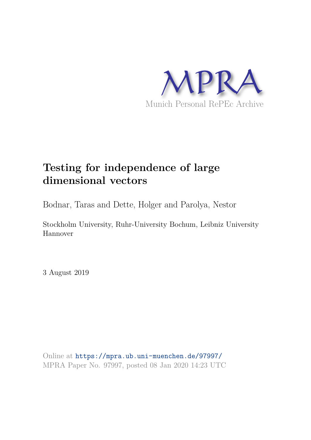

# **Testing for independence of large dimensional vectors**

Bodnar, Taras and Dette, Holger and Parolya, Nestor

Stockholm University, Ruhr-University Bochum, Leibniz University Hannover

3 August 2019

Online at https://mpra.ub.uni-muenchen.de/97997/ MPRA Paper No. 97997, posted 08 Jan 2020 14:23 UTC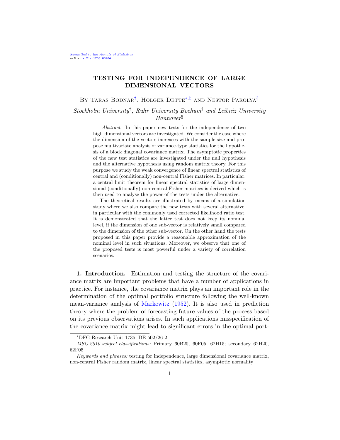## TESTING FOR INDEPENDENCE OF LARGE DIMENSIONAL VECTORS

BY TARAS BODNAR<sup>†</sup>, HOLGER DETTE<sup>\*,‡</sup> AND NESTOR PAROLYA<sup>§</sup>

Stockholm University† , Ruhr University Bochum‡ and Leibniz University Hannover§

> Abstract In this paper new tests for the independence of two high-dimensional vectors are investigated. We consider the case where the dimension of the vectors increases with the sample size and propose multivariate analysis of variance-type statistics for the hypothesis of a block diagonal covariance matrix. The asymptotic properties of the new test statistics are investigated under the null hypothesis and the alternative hypothesis using random matrix theory. For this purpose we study the weak convergence of linear spectral statistics of central and (conditionally) non-central Fisher matrices. In particular, a central limit theorem for linear spectral statistics of large dimensional (conditionally) non-central Fisher matrices is derived which is then used to analyse the power of the tests under the alternative.

> The theoretical results are illustrated by means of a simulation study where we also compare the new tests with several alternative, in particular with the commonly used corrected likelihood ratio test. It is demonstrated that the latter test does not keep its nominal level, if the dimension of one sub-vector is relatively small compared to the dimension of the other sub-vector. On the other hand the tests proposed in this paper provide a reasonable approximation of the nominal level in such situations. Moreover, we observe that one of the proposed tests is most powerful under a variety of correlation scenarios.

1. Introduction. Estimation and testing the structure of the covariance matrix are important problems that have a number of applications in practice. For instance, the covariance matrix plays an important role in the determination of the optimal portfolio structure following the well-known mean-variance analysis of Markowitz (1952). It is also used in prediction theory where the problem of forecasting future values of the process based on its previous observations arises. In such applications misspecification of the covariance matrix might lead to significant errors in the optimal port-

<sup>∗</sup>DFG Research Unit 1735, DE 502/26-2

MSC 2010 subject classifications: Primary 60B20, 60F05, 62H15; secondary 62H20, 62F05

Keywords and phrases: testing for independence, large dimensional covariance matrix, non-central Fisher random matrix, linear spectral statistics, asymptotic normality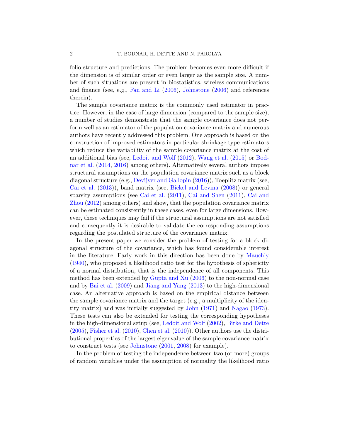folio structure and predictions. The problem becomes even more difficult if the dimension is of similar order or even larger as the sample size. A number of such situations are present in biostatistics, wireless communications and finance (see, e.g., Fan and Li (2006), Johnstone (2006) and references therein).

The sample covariance matrix is the commonly used estimator in practice. However, in the case of large dimension (compared to the sample size), a number of studies demonstrate that the sample covariance does not perform well as an estimator of the population covariance matrix and numerous authors have recently addressed this problem. One approach is based on the construction of improved estimators in particular shrinkage type estimators which reduce the variability of the sample covariance matrix at the cost of an additional bias (see, Ledoit and Wolf (2012), Wang et al. (2015) or Bodnar et al. (2014, 2016) among others). Alternatively several authors impose structural assumptions on the population covariance matrix such as a block diagonal structure (e.g., Devijver and Gallopin (2016)), Toeplitz matrix (see, Cai et al. (2013)), band matrix (see, Bickel and Levina (2008)) or general sparsity assumptions (see Cai et al. (2011), Cai and Shen (2011), Cai and Zhou (2012) among others) and show, that the population covariance matrix can be estimated consistently in these cases, even for large dimensions. However, these techniques may fail if the structural assumptions are not satisfied and consequently it is desirable to validate the corresponding assumptions regarding the postulated structure of the covariance matrix.

In the present paper we consider the problem of testing for a block diagonal structure of the covariance, which has found considerable interest in the literature. Early work in this direction has been done by Mauchly (1940), who proposed a likelihood ratio test for the hypothesis of sphericity of a normal distribution, that is the independence of all components. This method has been extended by Gupta and Xu (2006) to the non-normal case and by Bai et al. (2009) and Jiang and Yang (2013) to the high-dimensional case. An alternative approach is based on the empirical distance between the sample covariance matrix and the target (e.g., a multiplicity of the identity matrix) and was initially suggested by John (1971) and Nagao (1973). These tests can also be extended for testing the corresponding hypotheses in the high-dimensional setup (see, Ledoit and Wolf (2002), Birke and Dette  $(2005)$ , Fisher et al.  $(2010)$ , Chen et al.  $(2010)$ ). Other authors use the distributional properties of the largest eigenvalue of the sample covariance matrix to construct tests (see Johnstone (2001, 2008) for example).

In the problem of testing the independence between two (or more) groups of random variables under the assumption of normality the likelihood ratio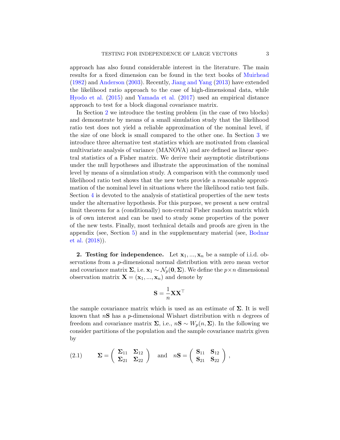approach has also found considerable interest in the literature. The main results for a fixed dimension can be found in the text books of Muirhead (1982) and Anderson (2003). Recently, Jiang and Yang (2013) have extended the likelihood ratio approach to the case of high-dimensional data, while Hyodo et al. (2015) and Yamada et al. (2017) used an empirical distance approach to test for a block diagonal covariance matrix.

In Section 2 we introduce the testing problem (in the case of two blocks) and demonstrate by means of a small simulation study that the likelihood ratio test does not yield a reliable approximation of the nominal level, if the size of one block is small compared to the other one. In Section 3 we introduce three alternative test statistics which are motivated from classical multivariate analysis of variance (MANOVA) and are defined as linear spectral statistics of a Fisher matrix. We derive their asymptotic distributions under the null hypotheses and illustrate the approximation of the nominal level by means of a simulation study. A comparison with the commonly used likelihood ratio test shows that the new tests provide a reasonable approximation of the nominal level in situations where the likelihood ratio test fails. Section 4 is devoted to the analysis of statistical properties of the new tests under the alternative hypothesis. For this purpose, we present a new central limit theorem for a (conditionally) non-central Fisher random matrix which is of own interest and can be used to study some properties of the power of the new tests. Finally, most technical details and proofs are given in the appendix (see, Section 5) and in the supplementary material (see, Bodnar et al. (2018)).

**2.** Testing for independence. Let  $x_1, ..., x_n$  be a sample of i.i.d. observations from a p-dimensional normal distribution with zero mean vector and covariance matrix  $\Sigma$ , i.e.  $\mathbf{x}_1 \sim \mathcal{N}_p(\mathbf{0}, \Sigma)$ . We define the  $p \times n$  dimensional observation matrix  $\mathbf{X} = (\mathbf{x}_1, ..., \mathbf{x}_n)$  and denote by

$$
\mathbf{S} = \frac{1}{n} \mathbf{X} \mathbf{X}^\top
$$

the sample covariance matrix which is used as an estimate of  $\Sigma$ . It is well known that  $nS$  has a p-dimensional Wishart distribution with n degrees of freedom and covariance matrix  $\Sigma$ , i.e.,  $nS \sim W_p(n, \Sigma)$ . In the following we consider partitions of the population and the sample covariance matrix given by

(2.1) 
$$
\Sigma = \begin{pmatrix} \Sigma_{11} & \Sigma_{12} \\ \Sigma_{21} & \Sigma_{22} \end{pmatrix} \text{ and } n\mathbf{S} = \begin{pmatrix} \mathbf{S}_{11} & \mathbf{S}_{12} \\ \mathbf{S}_{21} & \mathbf{S}_{22} \end{pmatrix},
$$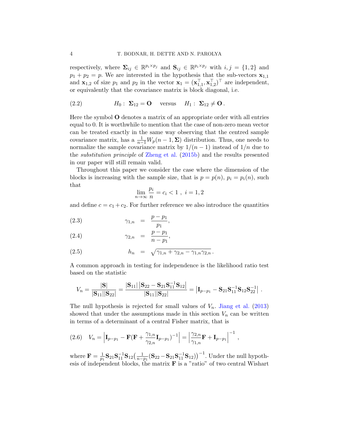respectively, where  $\Sigma_{ij} \in \mathbb{R}^{p_i \times p_j}$  and  $\mathbf{S}_{ij} \in \mathbb{R}^{p_i \times p_j}$  with  $i, j = \{1, 2\}$  and  $p_1 + p_2 = p$ . We are interested in the hypothesis that the sub-vectors  $\mathbf{x}_{1,1}$ and  $\mathbf{x}_{1,2}$  of size  $p_1$  and  $p_2$  in the vector  $\mathbf{x}_1 = (\mathbf{x}_{1,1}^{\top}, \mathbf{x}_{1,2}^{\top})^{\top}$  are independent, or equivalently that the covariance matrix is block diagonal, i.e.

(2.2) 
$$
H_0: \Sigma_{12} = \mathbf{O} \quad \text{versus} \quad H_1: \Sigma_{12} \neq \mathbf{O}.
$$

Here the symbol O denotes a matrix of an appropriate order with all entries equal to 0. It is worthwhile to mention that the case of non-zero mean vector can be treated exactly in the same way observing that the centred sample covariance matrix, has a  $\frac{1}{n-1}W_p(n-1,\Sigma)$  distribution. Thus, one needs to normalize the sample covariance matrix by  $1/(n-1)$  instead of  $1/n$  due to the substitution principle of Zheng et al. (2015b) and the results presented in our paper will still remain valid.

Throughout this paper we consider the case where the dimension of the blocks is increasing with the sample size, that is  $p = p(n)$ ,  $p_i = p_i(n)$ , such that

$$
\lim_{n \to \infty} \frac{p_i}{n} = c_i < 1 \;, \; i = 1, 2
$$

and define  $c = c_1 + c_2$ . For further reference we also introduce the quantities

(2.3) 
$$
\gamma_{1,n} = \frac{p - p_1}{p_1},
$$

(2.4) 
$$
\gamma_{2,n} = \frac{p-p_1}{n-p_1},
$$

(2.5) 
$$
h_n = \sqrt{\gamma_{1,n} + \gamma_{2,n} - \gamma_{1,n}\gamma_{2,n}}.
$$

A common approach in testing for independence is the likelihood ratio test based on the statistic

$$
V_n = \frac{|\mathbf{S}|}{|\mathbf{S}_{11}||\mathbf{S}_{22}|} = \frac{|\mathbf{S}_{11}| \, |\mathbf{S}_{22} - \mathbf{S}_{21}\mathbf{S}_{11}^{-1}\mathbf{S}_{12}|}{|\mathbf{S}_{11}||\mathbf{S}_{22}|} = |\mathbf{I}_{p-p_1} - \mathbf{S}_{21}\mathbf{S}_{11}^{-1}\mathbf{S}_{12}\mathbf{S}_{22}^{-1}|.
$$

The null hypothesis is rejected for small values of  $V_n$ . Jiang et al. (2013) showed that under the assumptions made in this section  $V_n$  can be written in terms of a determinant of a central Fisher matrix, that is

$$
(2.6) \quad V_n = \left| \mathbf{I}_{p-p_1} - \mathbf{F}(\mathbf{F} + \frac{\gamma_{1,n}}{\gamma_{2,n}} \mathbf{I}_{p-p_1})^{-1} \right| = \left| \frac{\gamma_{2,n}}{\gamma_{1,n}} \mathbf{F} + \mathbf{I}_{p-p_1} \right|^{-1},
$$

where  $\mathbf{F} = \frac{1}{n}$  $\frac{1}{p_1}\mathbf{S}_{21}\mathbf{S}^{-1}_{11}\mathbf{S}_{12}\big(\frac{1}{n-1}\big)$  $\frac{1}{n-\beta_1}(\mathbf{S}_{22}-\mathbf{S}_{21}\mathbf{S}_{11}^{-1}\mathbf{S}_{12})^{-1}$ . Under the null hypothesis of independent blocks, the matrix  $\bf{F}$  is a "ratio" of two central Wishart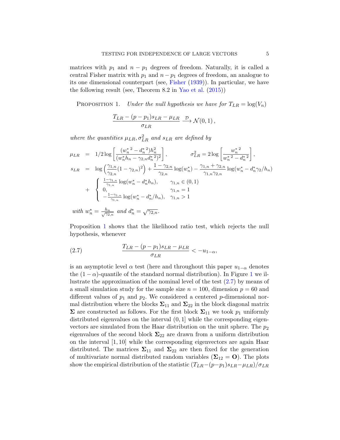matrices with  $p_1$  and  $n - p_1$  degrees of freedom. Naturally, it is called a central Fisher matrix with  $p_1$  and  $n - p_1$  degrees of freedom, an analogue to its one dimensional counterpart (see, Fisher (1939)). In particular, we have the following result (see, Theorem 8.2 in Yao et al.  $(2015)$ )

PROPOSITION 1. Under the null hypothesis we have for  $T_{LR} = \log(V_n)$ 

$$
\frac{T_{LR} - (p - p_1)s_{LR} - \mu_{LR}}{\sigma_{LR}} \xrightarrow{\mathcal{D}} \mathcal{N}(0, 1) ,
$$

where the quantities  $\mu_{LR}, \sigma_{LR}^2$  and  $s_{LR}$  are defined by

$$
\mu_{LR} = 1/2 \log \left[ \frac{(w_n^* - d_n^*)h_n^2}{(w_n^* h_n - \gamma_{2,n} d_n^*^2)^2} \right], \qquad \sigma_{LR}^2 = 2 \log \left[ \frac{w_n^*^2}{w_n^* - d_n^*^2} \right],
$$
  
\n
$$
s_{LR} = \log \left( \frac{\gamma_{1,n}}{\gamma_{2,n}} (1 - \gamma_{2,n})^2 \right) + \frac{1 - \gamma_{2,n}}{\gamma_{2,n}} \log(w_n^*) - \frac{\gamma_{1,n} + \gamma_{2,n}}{\gamma_{1,n} \gamma_{2,n}} \log(w_n^* - d_n^* \gamma_2/h_n)
$$
  
\n
$$
+ \begin{cases} \frac{1 - \gamma_{1,n}}{\gamma_{1,n}} \log(w_n^* - d_n^* h_n), & \gamma_{1,n} \in (0, 1) \\ 0, & \gamma_{1,n} = 1 \\ -\frac{1 - \gamma_{1,n}}{\gamma_{1,n}} \log(w_n^* - d_n^* / h_n), & \gamma_{1,n} > 1 \end{cases}
$$

with  $w_n^* = \frac{h_n}{\sqrt{2}}$  $\frac{h_n}{\gamma_{2,n}}$  and  $d_n^* = \sqrt{\gamma_{2,n}}$ .

Proposition 1 shows that the likelihood ratio test, which rejects the null hypothesis, whenever

(2.7) 
$$
\frac{T_{LR} - (p - p_1)s_{LR} - \mu_{LR}}{\sigma_{LR}} < -u_{1-\alpha},
$$

is an asymptotic level  $\alpha$  test (here and throughout this paper  $u_{1-\alpha}$  denotes the  $(1 - \alpha)$ -quantile of the standard normal distribution). In Figure 1 we illustrate the approximation of the nominal level of the test (2.7) by means of a small simulation study for the sample size  $n = 100$ , dimension  $p = 60$  and different values of  $p_1$  and  $p_2$ . We considered a centered p-dimensional normal distribution where the blocks  $\Sigma_{11}$  and  $\Sigma_{22}$  in the block diagonal matrix  $\Sigma$  are constructed as follows. For the first block  $\Sigma_{11}$  we took  $p_1$  uniformly distributed eigenvalues on the interval  $(0, 1]$  while the corresponding eigenvectors are simulated from the Haar distribution on the unit sphere. The  $p_2$ eigenvalues of the second block  $\Sigma_{22}$  are drawn from a uniform distribution on the interval [1, 10] while the corresponding eigenvectors are again Haar distributed. The matrices  $\Sigma_{11}$  and  $\Sigma_{22}$  are then fixed for the generation of multivariate normal distributed random variables ( $\Sigma_{12} = 0$ ). The plots show the empirical distribution of the statistic  $(T_{LR}-(p-p_1)s_{LR}-\mu_{LR})/\sigma_{LR}$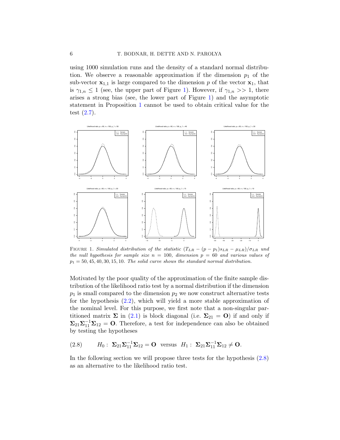using 1000 simulation runs and the density of a standard normal distribution. We observe a reasonable approximation if the dimension  $p_1$  of the sub-vector  $x_{1,1}$  is large compared to the dimension p of the vector  $x_1$ , that is  $\gamma_{1,n} \leq 1$  (see, the upper part of Figure 1). However, if  $\gamma_{1,n} >> 1$ , there arises a strong bias (see, the lower part of Figure 1) and the asymptotic statement in Proposition 1 cannot be used to obtain critical value for the test (2.7).



FIGURE 1. Simulated distribution of the statistic  $(T_{LR} - (p - p_1)s_{LR} - \mu_{LR})/\sigma_{LR}$  und the null hypothesis for sample size  $n = 100$ , dimension  $p = 60$  and various values of  $p_1 = 50, 45, 40, 30, 15, 10$ . The solid curve shows the standard normal distribution.

Motivated by the poor quality of the approximation of the finite sample distribution of the likelihood ratio test by a normal distribution if the dimension  $p_1$  is small compared to the dimension  $p_2$  we now construct alternative tests for the hypothesis (2.2), which will yield a more stable approximation of the nominal level. For this purpose, we first note that a non-singular partitioned matrix  $\Sigma$  in (2.1) is block diagonal (i.e.  $\Sigma_{21} = \mathbf{O}$ ) if and only if  $\Sigma_{21}\Sigma_{11}^{-1}\Sigma_{12} = 0$ . Therefore, a test for independence can also be obtained by testing the hypotheses

(2.8) 
$$
H_0: \Sigma_{21}\Sigma_{11}^{-1}\Sigma_{12} = \mathbf{O}
$$
 versus  $H_1: \Sigma_{21}\Sigma_{11}^{-1}\Sigma_{12} \neq \mathbf{O}$ .

In the following section we will propose three tests for the hypothesis  $(2.8)$ as an alternative to the likelihood ratio test.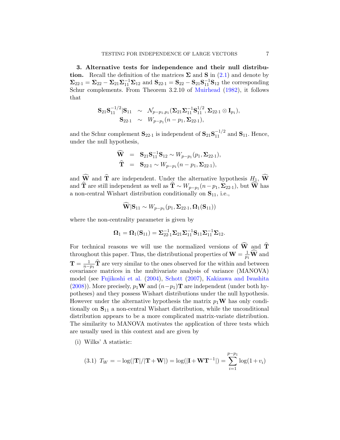3. Alternative tests for independence and their null distribution. Recall the definition of the matrices  $\Sigma$  and  $S$  in (2.1) and denote by  $\Sigma_{22\cdot1} = \Sigma_{22} - \Sigma_{21}\Sigma_{11}^{-1}\Sigma_{12}$  and  $S_{22\cdot1} = S_{22} - S_{21}S_{11}^{-1}S_{12}$  the corresponding Schur complements. From Theorem 3.2.10 of Muirhead (1982), it follows that

$$
\mathbf{S}_{21}\mathbf{S}_{11}^{-1/2}|\mathbf{S}_{11} \sim \mathcal{N}_{p-p_1,p_1}(\mathbf{\Sigma}_{21}\mathbf{\Sigma}_{11}^{-1}\mathbf{S}_{11}^{1/2}, \mathbf{\Sigma}_{22\cdot 1} \otimes \mathbf{I}_{p_1}),\mathbf{S}_{22\cdot 1} \sim W_{p-p_1}(n-p_1,\mathbf{\Sigma}_{22\cdot 1}),
$$

and the Schur complement  $S_{22\cdot 1}$  is independent of  $S_{21}S_{11}^{-1/2}$  and  $S_{11}$ . Hence, under the null hypothesis,

$$
\widehat{\mathbf{W}} = \mathbf{S}_{21} \mathbf{S}_{11}^{-1} \mathbf{S}_{12} \sim W_{p-p_1}(p_1, \Sigma_{22\cdot 1}), \n\widehat{\mathbf{T}} = \mathbf{S}_{22\cdot 1} \sim W_{p-p_1}(n-p_1, \Sigma_{22\cdot 1}),
$$

and **W** and **T** are independent. Under the alternative hypothesis  $H_1$ , **W** and **T** are still independent as well as  $\mathbf{T} \sim W_{p-p_1}(n-p_1, \Sigma_{22\cdot1})$ , but **W** has a non-central Wishart distribution conditionally on  $S_{11}$ , i.e.,

$$
\mathbf{W}|\mathbf{S}_{11} \sim W_{p-p_1}(p_1, \boldsymbol{\Sigma}_{22\cdot 1}, \boldsymbol{\Omega}_1(\mathbf{S}_{11}))
$$

where the non-centrality parameter is given by

$$
\mathbf{\Omega}_1 = \mathbf{\Omega}_1(\mathbf{S}_{11}) = \mathbf{\Sigma}_{22\cdot 1}^{-1} \mathbf{\Sigma}_{21} \mathbf{\Sigma}_{11}^{-1} \mathbf{S}_{11} \mathbf{\Sigma}_{11}^{-1} \mathbf{\Sigma}_{12}.
$$

For technical reasons we will use the normalized versions of  $\widehat{W}$  and  $\widehat{T}$ throughout this paper. Thus, the distributional properties of  $\mathbf{W} = \frac{1}{p_1} \mathbf{\widehat{W}}$  and  $\mathbf{T}=\frac{1}{n-1}$  $\frac{1}{n-p_1}$ **T** are very similar to the ones observed for the within and between covariance matrices in the multivariate analysis of variance (MANOVA) model (see Fujikoshi et al. (2004), Schott (2007), Kakizawa and Iwashita (2008)). More precisely,  $p_1\mathbf{W}$  and  $(n-p_1)\mathbf{T}$  are independent (under both hypotheses) and they possess Wishart distributions under the null hypothesis. However under the alternative hypothesis the matrix  $p_1\mathbf{W}$  has only conditionally on  $S_{11}$  a non-central Wishart distribution, while the unconditional distribution appears to be a more complicated matrix-variate distribution. The similarity to MANOVA motivates the application of three tests which are usually used in this context and are given by

(i) Wilks'  $\Lambda$  statistic:

(3.1) 
$$
T_W = -\log(|\mathbf{T}|/|\mathbf{T} + \mathbf{W}|) = \log(|\mathbf{I} + \mathbf{W}\mathbf{T}^{-1}|) = \sum_{i=1}^{p-p_1} \log(1 + v_i)
$$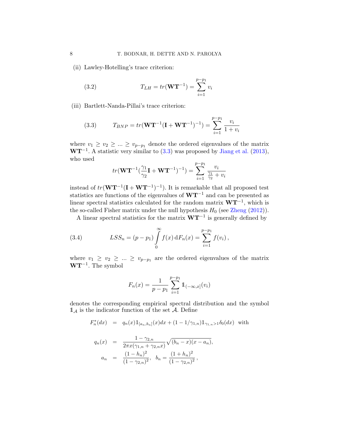(ii) Lawley-Hotelling's trace criterion:

(3.2) 
$$
T_{LH} = tr(\mathbf{W}\mathbf{T}^{-1}) = \sum_{i=1}^{p-p_1} v_i
$$

(iii) Bartlett-Nanda-Pillai's trace criterion:

(3.3) 
$$
T_{BNP} = tr(\mathbf{W}\mathbf{T}^{-1}(\mathbf{I} + \mathbf{W}\mathbf{T}^{-1})^{-1}) = \sum_{i=1}^{p-p_1} \frac{v_i}{1 + v_i}
$$

where  $v_1 \ge v_2 \ge ... \ge v_{p-p_1}$  denote the ordered eigenvalues of the matrix  $WT^{-1}$ . A statistic very similar to  $(3.3)$  was proposed by Jiang et al.  $(2013)$ , who used

$$
tr(\mathbf{W}\mathbf{T}^{-1}(\frac{\gamma_1}{\gamma_2}\mathbf{I} + \mathbf{W}\mathbf{T}^{-1})^{-1}) = \sum_{i=1}^{p-p_1} \frac{v_i}{\frac{\gamma_1}{\gamma_2} + v_i}
$$

instead of  $tr(WT^{-1}(I + WT^{-1})^{-1})$ . It is remarkable that all proposed test statistics are functions of the eigenvalues of  $WT^{-1}$  and can be presented as linear spectral statistics calculated for the random matrix  $WT^{-1}$ , which is the so-called Fisher matrix under the null hypothesis  $H_0$  (see Zheng (2012)).

A linear spectral statistics for the matrix  $W T^{-1}$  is generally defined by

(3.4) 
$$
LSS_n = (p - p_1) \int_{0}^{\infty} f(x) dF_n(x) = \sum_{i=1}^{p-p_1} f(v_i),
$$

where  $v_1 \geq v_2 \geq ... \geq v_{p-p_1}$  are the ordered eigenvalues of the matrix  $WT^{-1}$ . The symbol

$$
F_n(x) = \frac{1}{p - p_1} \sum_{i=1}^{p - p_1} \mathbb{1}_{(-\infty, x]}(v_i)
$$

denotes the corresponding empirical spectral distribution and the symbol  $\mathbb{1}_{\mathcal{A}}$  is the indicator function of the set  $\mathcal{A}$ . Define

$$
F_n^*(dx) \;\; = \;\; q_n(x)1\!\!1_{[a_n,b_n]}(x)dx + (1 - 1/\gamma_{1,n})1\!\!1_{\gamma_{1,n} > 1}\delta_0(dx) \;\; \hbox{with} \;\;
$$

$$
q_n(x) = \frac{1 - \gamma_{2,n}}{2\pi x(\gamma_{1,n} + \gamma_{2,n}x)} \sqrt{(b_n - x)(x - a_n)},
$$
  

$$
a_n = \frac{(1 - h_n)^2}{(1 - \gamma_{2,n})^2}, \quad b_n = \frac{(1 + h_n)^2}{(1 - \gamma_{2,n})^2},
$$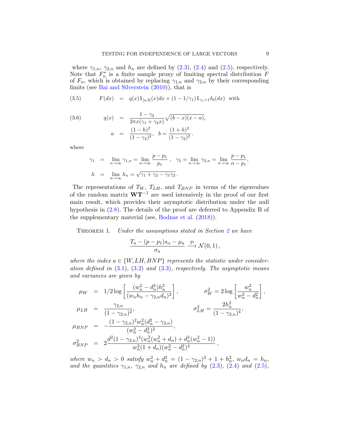where  $\gamma_{1,n}$ ,  $\gamma_{2,n}$  and  $h_n$  are defined by (2.3), (2.4) and (2.5), respectively. Note that  $F_n^*$  is a finite sample proxy of limiting spectral distribution  $F$ of  $F_n$ , which is obtained by replacing  $\gamma_{1,n}$  and  $\gamma_{2,n}$  by their corresponding limits (see Bai and Silverstein  $(2010)$ ), that is

(3.5) 
$$
F(dx) = q(x)1_{[a,b]}(x)dx + (1 - 1/\gamma_1)1_{\gamma_1 > 1}\delta_0(dx) \text{ with}
$$

(3.6) 
$$
q(x) = \frac{1 - \gamma_2}{2\pi x(\gamma_1 + \gamma_2 x)} \sqrt{(b - x)(x - a)},
$$

$$
a = \frac{(1 - h)^2}{(1 - \gamma_2)^2}, \quad b = \frac{(1 + h)^2}{(1 - \gamma_2)^2}.
$$

where

$$
\gamma_1 = \lim_{n \to \infty} \gamma_{1,n} = \lim_{n \to \infty} \frac{p - p_1}{p_1}, \quad \gamma_2 = \lim_{n \to \infty} \gamma_{2,n} = \lim_{n \to \infty} \frac{p - p_1}{n - p_1},
$$
  
\n
$$
h = \lim_{n \to \infty} h_n = \sqrt{\gamma_1 + \gamma_2 - \gamma_1 \gamma_2}.
$$

The representations of  $T_W$ ,  $T_{LH}$ , and  $T_{BNP}$  in terms of the eigenvalues of the random matrix  $W T^{-1}$  are used intensively in the proof of our first main result, which provides their asymptotic distribution under the null hypothesis in (2.8). The details of the proof are deferred to Appendix B of the supplementary material (see, Bodnar et al. (2018)).

THEOREM 1. Under the assumptions stated in Section 2 we have

$$
\frac{T_a - (p - p_1)s_\alpha - \mu_a}{\sigma_a} \xrightarrow{\mathcal{D}} \mathcal{N}(0, 1) ,
$$

where the index  $a \in \{W, LH, BNP\}$  represents the statistic under consideration defined in  $(3.1)$ ,  $(3.2)$  and  $(3.3)$ , respectively. The asymptotic means and variances are given by

$$
\mu_W = 1/2 \log \left[ \frac{(w_n^2 - d_n^2)h_n^2}{(w_n h_n - \gamma_{2,n} d_n)^2} \right], \qquad \sigma_W^2 = 2 \log \left[ \frac{w_n^2}{w_n^2 - d_n^2} \right],
$$
  
\n
$$
\mu_{LH} = \frac{\gamma_{2,n}}{(1 - \gamma_{2,n})^2}, \qquad \sigma_{LH}^2 = \frac{2h_n^2}{(1 - \gamma_{2,n})^4},
$$
  
\n
$$
\mu_{BNP} = -\frac{(1 - \gamma_{2,n})^2 w_n^2 (d_n^2 - \gamma_{2,n})}{(w_n^2 - d_n^2)^2},
$$
  
\n
$$
\sigma_{BNP}^2 = 2 \frac{d^2 (1 - \gamma_{2,n})^4 (w_n^2 (w_n^2 + d_n) + d_n^3 (w_n^2 - 1))}{w_n^2 (1 + d_n)(w_n^2 - d_n^2)^4},
$$

where  $w_n > d_n > 0$  satisfy  $w_n^2 + d_n^2 = (1 - \gamma_{2,n})^2 + 1 + h_n^2$ ,  $w_n d_n = h_n$ , and the quantities  $\gamma_{1,n}$ ,  $\gamma_{2,n}$  and  $h_n$  are defined by  $(2.3)$ ,  $(2.4)$  and  $(2.5)$ ,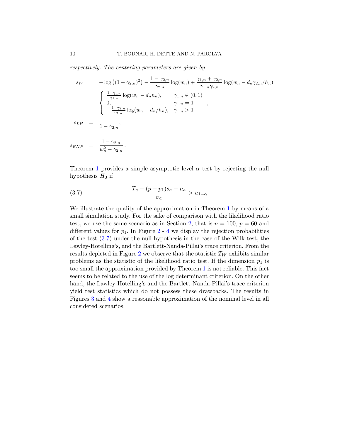respectively. The centering parameters are given by

$$
s_W = -\log ((1 - \gamma_{2,n})^2) - \frac{1 - \gamma_{2,n}}{\gamma_{2,n}} \log(w_n) + \frac{\gamma_{1,n} + \gamma_{2,n}}{\gamma_{1,n}\gamma_{2,n}} \log(w_n - d_n \gamma_{2,n}/h_n)
$$
  

$$
- \begin{cases} \frac{1 - \gamma_{1,n}}{\gamma_{1,n}} \log(w_n - d_n h_n), & \gamma_{1,n} \in (0, 1) \\ 0, & \gamma_{1,n} = 1 \\ -\frac{1 - \gamma_{1,n}}{\gamma_{1,n}} \log(w_n - d_n/h_n), & \gamma_{1,n} > 1 \end{cases}
$$
  

$$
s_{LH} = \frac{1}{1 - \gamma_{2,n}},
$$

$$
s_{BNP} = \frac{1 - \gamma_{2,n}}{w_n^2 - \gamma_{2,n}}.
$$

Theorem 1 provides a simple asymptotic level  $\alpha$  test by rejecting the null hypothesis  $H_0$  if

$$
(3.7) \qquad \qquad \frac{T_a - (p - p_1)s_a - \mu_a}{\sigma_a} > u_{1-\alpha}
$$

We illustrate the quality of the approximation in Theorem 1 by means of a small simulation study. For the sake of comparison with the likelihood ratio test, we use the same scenario as in Section 2, that is  $n = 100$ ,  $p = 60$  and different values for  $p_1$ . In Figure 2 - 4 we display the rejection probabilities of the test (3.7) under the null hypothesis in the case of the Wilk test, the Lawley-Hotelling's, and the Bartlett-Nanda-Pillai's trace criterion. From the results depicted in Figure 2 we observe that the statistic  $T_W$  exhibits similar problems as the statistic of the likelihood ratio test. If the dimension  $p_1$  is too small the approximation provided by Theorem 1 is not reliable. This fact seems to be related to the use of the log determinant criterion. On the other hand, the Lawley-Hotelling's and the Bartlett-Nanda-Pillai's trace criterion yield test statistics which do not possess these drawbacks. The results in Figures 3 and 4 show a reasonable approximation of the nominal level in all considered scenarios.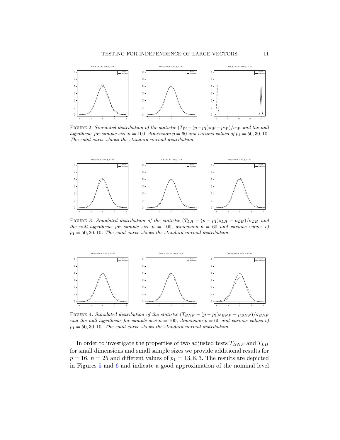

FIGURE 2. Simulated distribution of the statistic  $(T_W - (p-p_1)s_W - \mu_W)/\sigma_W$  und the null hypothesis for sample size  $n = 100$ , dimension  $p = 60$  and various values of  $p_1 = 50, 30, 10$ . The solid curve shows the standard normal distribution.



FIGURE 3. Simulated distribution of the statistic  $(T_{LH} - (p - p_1)s_{LH} - \mu_{LH})/\sigma_{LH}$  und the null hypothesis for sample size  $n = 100$ , dimension  $p = 60$  and various values of  $p_1 = 50, 30, 10$ . The solid curve shows the standard normal distribution.



FIGURE 4. Simulated distribution of the statistic  $(T_{BNP} - (p - p_1)s_{BNP} - \mu_{BNP})/\sigma_{BNP}$ und the null hypothesis for sample size  $n = 100$ , dimension  $p = 60$  and various values of  $p_1 = 50, 30, 10$ . The solid curve shows the standard normal distribution.

In order to investigate the properties of two adjusted tests  $T_{BNP}$  and  $T_{LH}$ for small dimensions and small sample sizes we provide additional results for  $p = 16$ ,  $n = 25$  and different values of  $p_1 = 13, 8, 3$ . The results are depicted in Figures 5 and 6 and indicate a good approximation of the nominal level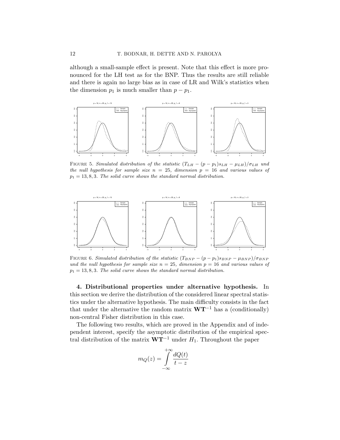although a small-sample effect is present. Note that this effect is more pronounced for the LH test as for the BNP. Thus the results are still reliable and there is again no large bias as in case of LR and Wilk's statistics when the dimension  $p_1$  is much smaller than  $p - p_1$ .



FIGURE 5. Simulated distribution of the statistic  $(T_{LH} - (p - p_1)s_{LH} - \mu_{LH})/\sigma_{LH}$  und the null hypothesis for sample size  $n = 25$ , dimension  $p = 16$  and various values of  $p_1 = 13, 8, 3$ . The solid curve shows the standard normal distribution.



FIGURE 6. Simulated distribution of the statistic  $(T_{BNP} - (p - p_1) s_{BNP} - \mu_{BNP})/\sigma_{BNP}$ und the null hypothesis for sample size  $n = 25$ , dimension  $p = 16$  and various values of  $p_1 = 13, 8, 3$ . The solid curve shows the standard normal distribution.

4. Distributional properties under alternative hypothesis. In this section we derive the distribution of the considered linear spectral statistics under the alternative hypothesis. The main difficulty consists in the fact that under the alternative the random matrix  $\mathbf{W}\mathbf{T}^{-1}$  has a (conditionally) non-central Fisher distribution in this case.

The following two results, which are proved in the Appendix and of independent interest, specify the asymptotic distribution of the empirical spectral distribution of the matrix  $W T^{-1}$  under  $H_1$ . Throughout the paper

$$
m_Q(z) = \int_{-\infty}^{+\infty} \frac{dQ(t)}{t - z}
$$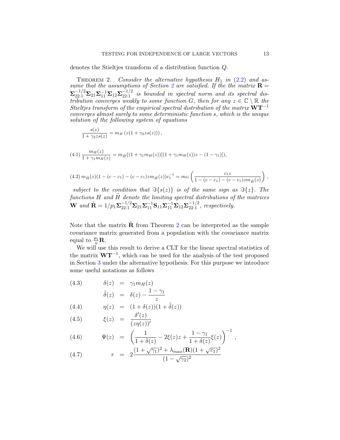denotes the Stieltjes transform of a distribution function Q.

THEOREM 2. Consider the alternative hypothesis  $H_1$  in (2.2) and assume that the assumptions of Section 2 are satisfied. If the the matrix  $\mathbf{R} =$  $\sum_{22\cdot 1}^{-1/2}\Sigma_{21}\Sigma_{11}^{-1}\Sigma_{12}\Sigma_{22\cdot 1}^{-1/2}$  $\frac{(-1)}{22 \cdot 1}$  is bounded in spectral norm and its spectral distribution converges weakly to some function G, then for any  $z \in \mathbb{C} \setminus \mathbb{R}$  then Stieltjes transform of the empirical spectral distribution of the matrix  $\mathbf{W}\mathbf{T}^{-1}$ converges almost surely to some deterministic function s, which is the unique solution of the following system of equations

$$
\frac{s(z)}{1+\gamma_2zs(z)} = m_H\left(z(1+\gamma_2zs(z))\right),\,
$$

$$
(4.1)\frac{m_H(z)}{1+\gamma_1 m_H(z)} = m_{\tilde{H}}((1+\gamma_1 m_H(z))[(1+\gamma_1 m_H(z))z - (1-\gamma_1)]),
$$

$$
(4.2)\,m_{\tilde{H}}(z)(1-(c-c_1)-(c-c_1)zm_{\tilde{H}}(z))c_1^{-1}=m_G\left(\frac{c_1z}{1-(c-c_1)-(c-c_1)zm_{\tilde{H}}(z)}\right)\,,
$$

subject to the condition that  $\Im\{s(z)\}\$ is of the same sign as  $\Im\{z\}$ . The functions H and  $\tilde{H}$  denote the limiting spectral distributions of the matrices **W** and  $\tilde{\mathbf{R}} = 1/p_1 \Sigma_{22\cdot 1}^{-1/2} \Sigma_{21} \Sigma_{11}^{-1} \mathbf{S}_{11} \Sigma_{11}^{-1} \Sigma_{12} \Sigma_{22\cdot 1}^{-1/2}$  $\frac{-1}{22 \cdot 1}$ , respectively.

Note that the matrix  $\bf{R}$  from Theorem 2 can be interpreted as the sample covariance matrix generated from a population with the covariance matrix equal to  $\frac{p_1}{n} \mathbf{R}$ .

We will use this result to derive a CLT for the linear spectral statistics of the matrix  $W T^{-1}$ , which can be used for the analysis of the test proposed in Section 3 under the alternative hypothesis. For this purpose we introduce some useful notations as follows

(4.3) 
$$
\delta(z) = \gamma_1 m_H(z)
$$

$$
\tilde{\delta}(z) = \delta(z) - \frac{1 - \gamma_1}{z}
$$

(4.4) 
$$
\eta(z) = (1 + \delta(z))(1 + \tilde{\delta}(z))
$$

$$
(4.5) \qquad \xi(z) = \frac{\delta'(z)}{(z\eta(z))'}
$$

(4.6) 
$$
\Psi(z) = \left(\frac{1}{1+\delta(z)} - 2\xi(z)z + \frac{1-\gamma_1}{1+\delta(z)}\xi(z)\right)^{-1},
$$

(4.7) 
$$
r = 2 \frac{(1 + \sqrt{\gamma_1})^2 + \lambda_{max}(\mathbf{R})(1 + \sqrt{c_1})^2}{(1 - \sqrt{\gamma_2})^2}
$$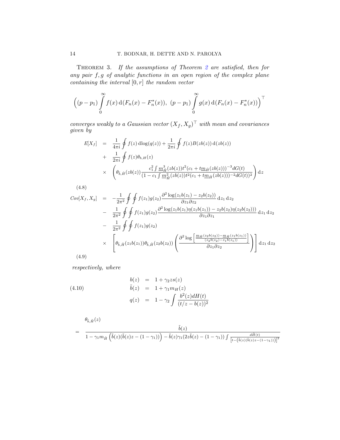Theorem 3. If the assumptions of Theorem 2 are satisfied, then for any pair f, g of analytic functions in an open region of the complex plane containing the interval  $[0, r]$  the random vector

$$
\left( (p - p_1) \int_{0}^{\infty} f(x) d(F_n(x) - F_n^*(x)), (p - p_1) \int_{0}^{\infty} g(x) d(F_n(x) - F_n^*(x)) \right)^{\top}
$$

converges weakly to a Gaussian vector  $(X_f, X_g)^\perp$  with mean and covariances given by

$$
E[X_f] = \frac{1}{4\pi i} \oint f(z) d\log(q(z)) + \frac{1}{2\pi i} \oint f(z)B(zb(z)) d(zb(z))
$$
  
+ 
$$
\frac{1}{2\pi i} \oint f(z)\theta_{b,H}(z)
$$
  

$$
\times \left(\theta_{\tilde{b},\tilde{H}}(zb(z)) \frac{c_1^2 \int m_{\tilde{H}}^3 (zb(z)) t^2 (c_1 + t m_{\tilde{H}}(zb(z)))^{-3} dG(t)}{(1 - c_1 \int m_{\tilde{H}}^2 (zb(z)) t^2 (c_1 + t m_{\tilde{H}}(zb(z)))^{-2} dG(t))^2}\right) dz
$$

(4.8)

$$
Cov[X_f, X_g] = -\frac{1}{2\pi^2} \oint \oint f(z_1)g(z_2) \frac{\partial^2 \log(z_1b(z_1) - z_2b(z_2))}{\partial z_1 \partial z_2} dz_1 dz_2
$$
  
\n
$$
- \frac{1}{2\pi^2} \oint \oint f(z_1)g(z_2) \frac{\partial^2 \log(z_1b(z_1)\eta(z_1b(z_1)) - z_2b(z_2)\eta(z_2b(z_2)))}{\partial z_1 \partial z_1} dz_1 dz_2
$$
  
\n
$$
- \frac{1}{2\pi^2} \oint \oint f(z_1)g(z_2)
$$
  
\n
$$
\times \left[ \theta_{\tilde{b}, \tilde{H}}(z_1b(z_1)) \theta_{\tilde{b}, \tilde{H}}(z_2b(z_2)) \left( \frac{\partial^2 \log \left[ \frac{m_{\tilde{H}}(z_2b(z_2)) - m_{\tilde{H}}(z_1b(z_1))}{(z_2b(z_2) - z_1b(z_1))} \right]}{\partial z_1 \partial z_2} \right) \right] dz_1 dz_2
$$

(4.9)

 $respectively,\ where$ 

(4.10)  
\n
$$
\begin{array}{rcl}\nb(z) & = & 1 + \gamma_2 z s(z) \\
\tilde{b}(z) & = & 1 + \gamma_1 m_H(z) \\
q(z) & = & 1 - \gamma_2 \int \frac{b^2(z) dH(t)}{(t/z - b(z))^2}\n\end{array}
$$

$$
\begin{array}{lll} \displaystyle &\theta_{\tilde{b},\tilde{H}}(z)\\[0.2cm] \displaystyle &\qquad \qquad & \displaystyle \frac{\tilde{b}(z)}{1-\gamma_1 m_{\tilde{H}}\left(\tilde{b}(z)(\tilde{b}(z)z-(1-\gamma_1))\right)-\tilde{b}(z)\gamma_1(2z\tilde{b}(z)-(1-\gamma_1))\int\frac{d\tilde{H}(t)}{\left[t-\left(\tilde{b}(z)(\tilde{b}(z)z-(1-\gamma_1))\right)\right]^2}}\end{array}
$$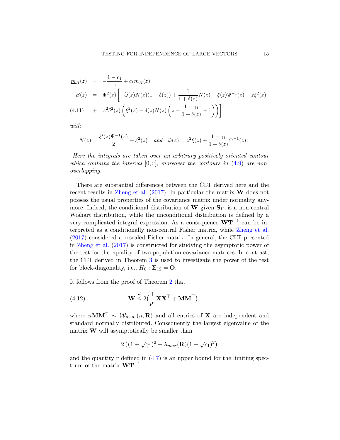$$
\underline{m}_{\tilde{H}}(z) = -\frac{1 - c_1}{z} + c_1 m_{\tilde{H}}(z) \nB(z) = \Psi^2(z) \left[ -\tilde{\omega}(z) N(z) (1 - \delta(z)) + \frac{1}{1 + \delta(z)} N(z) + \xi(z) \Psi^{-1}(z) + z \xi^2(z) \right] \n(4.11) + z^2 \tilde{\delta}^2(z) \left( \xi^2(z) - \delta(z) N(z) \left( z - \frac{1 - \gamma_1}{1 + \delta(z)} + 1 \right) \right)
$$

with

$$
N(z) = \frac{\xi'(z)\Psi^{-1}(z)}{2} - \xi^{2}(z) \quad and \quad \tilde{\omega}(z) = z^{2}\xi(z) + \frac{1-\gamma_{1}}{1+\delta(z)}\Psi^{-1}(z).
$$

Here the integrals are taken over an arbitrary positively oriented contour which contains the interval  $[0, r]$ , moreover the contours in  $(4.9)$  are nonoverlapping.

There are substantial differences between the CLT derived here and the recent results in Zheng et al.  $(2017)$ . In particular the matrix **W** does not possess the usual properties of the covariance matrix under normality anymore. Indeed, the conditional distribution of  $\mathbf{W}$  given  $\mathbf{S}_{11}$  is a non-central Wishart distribution, while the unconditional distribution is defined by a very complicated integral expression. As a consequence  $WT^{-1}$  can be interpreted as a conditionally non-central Fisher matrix, while Zheng et al. (2017) considered a rescaled Fisher matrix. In general, the CLT presented in Zheng et al. (2017) is constructed for studying the asymptotic power of the test for the equality of two population covariance matrices. In contrast, the CLT derived in Theorem 3 is used to investigate the power of the test for block-diagonality, i.e.,  $H_0: \Sigma_{12} = \mathbf{O}$ .

It follows from the proof of Theorem 2 that

(4.12) 
$$
\mathbf{W} \stackrel{d}{\leq} 2\left(\frac{1}{p_1}\mathbf{X}\mathbf{X}^{\top} + \mathbf{M}\mathbf{M}^{\top}\right),
$$

where  $nMM' \sim W_{p-p_1}(n, \mathbf{R})$  and all entries of **X** are independent and standard normally distributed. Consequently the largest eigenvalue of the matrix  $\bf{W}$  will asymptotically be smaller than

$$
2\left((1+\sqrt{\gamma_1})^2+\lambda_{max}(\mathbf{R})(1+\sqrt{c_1})^2\right)
$$

and the quantity  $r$  defined in  $(4.7)$  is an upper bound for the limiting spectrum of the matrix  $WT^{-1}$ .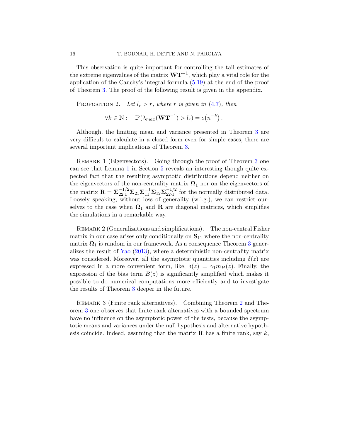This observation is quite important for controlling the tail estimates of the extreme eigenvalues of the matrix  $W T^{-1}$ , which play a vital role for the application of the Cauchy's integral formula (5.19) at the end of the proof of Theorem 3. The proof of the following result is given in the appendix.

PROPOSITION 2. Let  $l_r > r$ , where r is given in (4.7), then

$$
\forall k \in \mathbb{N}: \quad \mathbb{P}(\lambda_{max}(\mathbf{W}\mathbf{T}^{-1}) > l_r) = o(n^{-k}).
$$

Although, the limiting mean and variance presented in Theorem 3 are very difficult to calculate in a closed form even for simple cases, there are several important implications of Theorem 3.

REMARK 1 (Eigenvectors). Going through the proof of Theorem 3 one can see that Lemma 1 in Section 5 reveals an interesting though quite expected fact that the resulting asymptotic distributions depend neither on the eigenvectors of the non-centrality matrix  $\Omega_1$  nor on the eigenvectors of the matrix  $\mathbf{R} = \mathbf{\Sigma}_{22\cdot 1}^{-1/2} \mathbf{\Sigma}_{21} \mathbf{\Sigma}_{11}^{-1} \mathbf{\Sigma}_{12} \mathbf{\Sigma}_{22\cdot 1}^{-1/2}$  $\frac{-1}{22.1}$  for the normally distributed data. Loosely speaking, without loss of generality (w.l.g.), we can restrict ourselves to the case when  $\Omega_1$  and **R** are diagonal matrices, which simplifies the simulations in a remarkable way.

REMARK 2 (Generalizations and simplifications). The non-central Fisher matrix in our case arises only conditionally on  $S_{11}$  where the non-centrality matrix  $\mathbf{\Omega}_1$  is random in our framework. As a consequence Theorem 3 generalizes the result of Yao (2013), where a deterministic non-centrality matrix was considered. Moreover, all the asymptotic quantities including  $\delta(z)$  are expressed in a more convenient form, like,  $\delta(z) = \gamma_1 m_H(z)$ . Finally, the expression of the bias term  $B(z)$  is significantly simplified which makes it possible to do numerical computations more efficiently and to investigate the results of Theorem 3 deeper in the future.

Remark 3 (Finite rank alternatives). Combining Theorem 2 and Theorem 3 one observes that finite rank alternatives with a bounded spectrum have no influence on the asymptotic power of the tests, because the asymptotic means and variances under the null hypothesis and alternative hypothesis coincide. Indeed, assuming that the matrix  $\bf{R}$  has a finite rank, say k,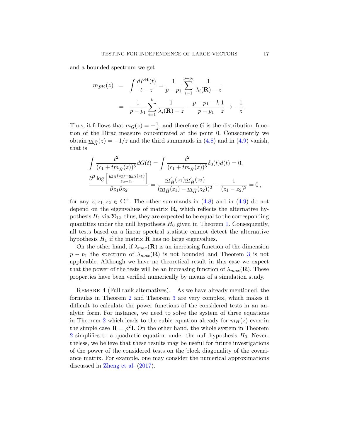and a bounded spectrum we get

$$
m_{F}(\mathbf{z}) = \int \frac{dF^{\mathbf{R}}(t)}{t - z} = \frac{1}{p - p_1} \sum_{i=1}^{p - p_1} \frac{1}{\lambda_i(\mathbf{R}) - z}
$$

$$
= \frac{1}{p - p_1} \sum_{i=1}^{k} \frac{1}{\lambda_i(\mathbf{R}) - z} - \frac{p - p_1 - k}{p - p_1} \frac{1}{z} \to -\frac{1}{z}
$$

Thus, it follows that  $m_G(z) = -\frac{1}{z}$  $\frac{1}{z}$ , and therefore G is the distribution function of the Dirac measure concentrated at the point 0. Consequently we obtain  $m_{\tilde{H}}(z) = -1/z$  and the third summands in (4.8) and in (4.9) vanish, that is

$$
\int \frac{t^2}{(c_1 + t\underline{m}_{\tilde{H}}(z))^3} dG(t) = \int \frac{t^2}{(c_1 + t\underline{m}_{\tilde{H}}(z))^3} \delta_0(t) d(t) = 0,
$$
  

$$
\frac{\partial^2 \log \left[ \frac{m_{\tilde{H}}(z_2) - m_{\tilde{H}}(z_1)}{z_2 - z_1} \right]}{\partial z_1 \partial z_2} = \frac{m'_{\tilde{H}}(z_1) m'_{\tilde{H}}(z_2)}{(m_{\tilde{H}}(z_1) - m_{\tilde{H}}(z_2))^2} - \frac{1}{(z_1 - z_2)^2} = 0,
$$

for any  $z, z_1, z_2 \in \mathbb{C}^+$ . The other summands in  $(4.8)$  and in  $(4.9)$  do not depend on the eigenvalues of matrix  $\bf{R}$ , which reflects the alternative hypothesis  $H_1$  via  $\Sigma_{12}$ , thus, they are expected to be equal to the corresponding quantities under the null hypothesis  $H_0$  given in Theorem 1. Consequently, all tests based on a linear spectral statistic cannot detect the alternative hypothesis  $H_1$  if the matrix **R** has no large eigenvalues.

On the other hand, if  $\lambda_{max}(\mathbf{R})$  is an increasing function of the dimension  $p - p_1$  the spectrum of  $\lambda_{max}(\mathbf{R})$  is not bounded and Theorem 3 is not applicable. Although we have no theoretical result in this case we expect that the power of the tests will be an increasing function of  $\lambda_{max}(\mathbf{R})$ . These properties have been verified numerically by means of a simulation study.

REMARK 4 (Full rank alternatives). As we have already mentioned, the formulas in Theorem 2 and Theorem 3 are very complex, which makes it difficult to calculate the power functions of the considered tests in an analytic form. For instance, we need to solve the system of three equations in Theorem 2 which leads to the cubic equation already for  $m_H(z)$  even in the simple case  $\mathbf{R} = \rho^2 \mathbf{I}$ . On the other hand, the whole system in Theorem 2 simplifies to a quadratic equation under the null hypothesis  $H_0$ . Nevertheless, we believe that these results may be useful for future investigations of the power of the considered tests on the block diagonality of the covariance matrix. For example, one may consider the numerical approximations discussed in Zheng et al. (2017).

.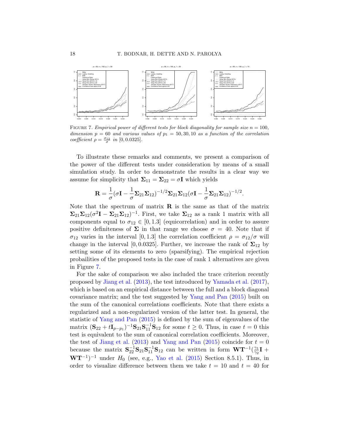

FIGURE 7. Empirical power of different tests for block diagonality for sample size  $n = 100$ , dimension  $p = 60$  and various values of  $p_1 = 50, 30, 10$  as a function of the correlation coefficient  $\rho = \frac{\sigma_{12}}{\sigma}$  in [0,00.0325].

To illustrate these remarks and comments, we present a comparison of the power of the different tests under consideration by means of a small simulation study. In order to demonstrate the results in a clear way we assume for simplicity that  $\Sigma_{11} = \Sigma_{22} = \sigma \mathbf{I}$  which yields

$$
\mathbf{R} = \frac{1}{\sigma} (\sigma \mathbf{I} - \frac{1}{\sigma} \mathbf{\Sigma}_{21} \mathbf{\Sigma}_{12})^{-1/2} \mathbf{\Sigma}_{21} \mathbf{\Sigma}_{12} (\sigma \mathbf{I} - \frac{1}{\sigma} \mathbf{\Sigma}_{21} \mathbf{\Sigma}_{12})^{-1/2}.
$$

Note that the spectrum of matrix  $\bf{R}$  is the same as that of the matrix  $\Sigma_{21}\Sigma_{12}(\sigma^2I - \Sigma_{21}\Sigma_{12})^{-1}$ . First, we take  $\Sigma_{12}$  as a rank 1 matrix with all components equal to  $\sigma_{12} \in [0, 1.3]$  (equicorrelation) and in order to assure positive definiteness of  $\Sigma$  in that range we choose  $\sigma = 40$ . Note that if  $\sigma_{12}$  varies in the interval [0, 1.3] the correlation coefficient  $\rho = \sigma_{12}/\sigma$  will change in the interval [0, 0.0325]. Further, we increase the rank of  $\Sigma_{12}$  by setting some of its elements to zero (sparsifying). The empirical rejection probailities of the proposed tests in the case of rank 1 alternatives are given in Figure 7.

For the sake of comparison we also included the trace criterion recently proposed by Jiang et al. (2013), the test introduced by Yamada et al. (2017), which is based on an empirical distance between the full and a block diagonal covariance matrix; and the test suggested by Yang and Pan (2015) built on the sum of the canonical correlations coefficients. Note that there exists a regularized and a non-regularized version of the latter test. In general, the statistic of Yang and Pan (2015) is defined by the sum of eigenvalues of the matrix  $({\bf S}_{22} + t{\bf I}_{p-p_1})^{-1}{\bf S}_{21}{\bf S}_{11}^{-1}{\bf S}_{12}$  for some  $t \ge 0$ . Thus, in case  $t = 0$  this test is equivalent to the sum of canonical correlation coefficients. Moreover, the test of Jiang et al. (2013) and Yang and Pan (2015) coincide for  $t = 0$ because the matrix  $S_{22}^{-1}S_{21}S_{11}^{-1}S_{12}$  can be written in form  $WT^{-1}(\frac{\gamma_1}{\gamma_2})$  $\frac{\gamma_1}{\gamma_2}\mathbf{I}$  +  $WT^{-1}$ <sup>-1</sup> under  $H_0$  (see, e.g., Yao et al. (2015) Section 8.5.1). Thus, in order to visualize difference between them we take  $t = 10$  and  $t = 40$  for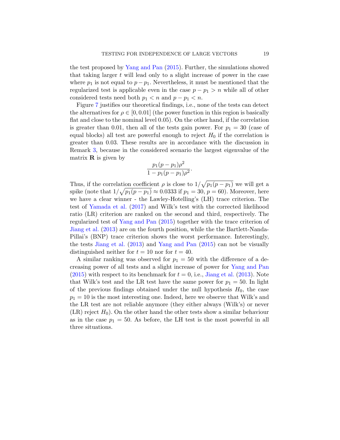the test proposed by Yang and Pan (2015). Further, the simulations showed that taking larger  $t$  will lead only to a slight increase of power in the case where  $p_1$  is not equal to  $p - p_1$ . Nevertheless, it must be mentioned that the regularized test is applicable even in the case  $p - p_1 > n$  while all of other considered tests need both  $p_1 < n$  and  $p - p_1 < n$ .

Figure 7 justifies our theoretical findings, i.e., none of the tests can detect the alternatives for  $\rho \in [0, 0.01]$  (the power function in this region is basically flat and close to the nominal level 0.05). On the other hand, if the correlation is greater than 0.01, then all of the tests gain power. For  $p_1 = 30$  (case of equal blocks) all test are powerful enough to reject  $H_0$  if the correlation is greater than 0.03. These results are in accordance with the discussion in Remark 3, because in the considered scenario the largest eigenvalue of the matrix  $\bf{R}$  is given by

$$
\frac{p_1(p-p_1)\rho^2}{1-p_1(p-p_1)\rho^2}.
$$

Thus, if the correlation coefficient  $\rho$  is close to  $1/\sqrt{p_1(p-p_1)}$  we will get a spike (note that  $1/\sqrt{p_1(p - p_1)} \approx 0.0333$  if  $p_1 = 30, p = 60$ ). Moreover, here we have a clear winner - the Lawley-Hotelling's (LH) trace criterion. The test of Yamada et al. (2017) and Wilk's test with the corrected likelihood ratio (LR) criterion are ranked on the second and third, respectively. The regularized test of Yang and Pan (2015) together with the trace criterion of Jiang et al. (2013) are on the fourth position, while the the Bartlett-Nanda-Pillai's (BNP) trace criterion shows the worst performance. Interestingly, the tests Jiang et al. (2013) and Yang and Pan (2015) can not be visually distinguished neither for  $t = 10$  nor for  $t = 40$ .

A similar ranking was observed for  $p_1 = 50$  with the difference of a decreasing power of all tests and a slight increase of power for Yang and Pan  $(2015)$  with respect to its benchmark for  $t = 0$ , i.e., Jiang et al.  $(2013)$ . Note that Wilk's test and the LR test have the same power for  $p_1 = 50$ . In light of the previous findings obtained under the null hypothesis  $H_0$ , the case  $p_1 = 10$  is the most interesting one. Indeed, here we observe that Wilk's and the LR test are not reliable anymore (they either always (Wilk's) or never  $(LR)$  reject  $H_0$ ). On the other hand the other tests show a similar behaviour as in the case  $p_1 = 50$ . As before, the LH test is the most powerful in all three situations.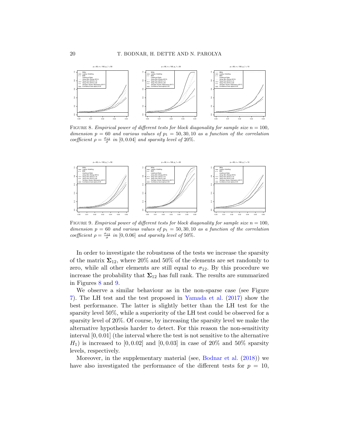

FIGURE 8. Empirical power of different tests for block diagonality for sample size  $n = 100$ , dimension  $p = 60$  and various values of  $p_1 = 50, 30, 10$  as a function of the correlation coefficient  $\rho = \frac{\sigma_{12}}{\sigma}$  in [0, 0.04] and sparsity level of 20%.



FIGURE 9. Empirical power of different tests for block diagonality for sample size  $n = 100$ , dimension  $p = 60$  and various values of  $p_1 = 50, 30, 10$  as a function of the correlation coefficient  $\rho = \frac{\sigma_{12}}{\sigma}$  in [0,0.06] and sparsity level of 50%.

In order to investigate the robustness of the tests we increase the sparsity of the matrix  $\Sigma_{12}$ , where 20% and 50% of the elements are set randomly to zero, while all other elements are still equal to  $\sigma_{12}$ . By this procedure we increase the probability that  $\Sigma_{12}$  has full rank. The results are summarized in Figures 8 and 9.

We observe a similar behaviour as in the non-sparse case (see Figure 7). The LH test and the test proposed in Yamada et al. (2017) show the best performance. The latter is slightly better than the LH test for the sparsity level 50%, while a superiority of the LH test could be observed for a sparsity level of 20%. Of course, by increasing the sparsity level we make the alternative hypothesis harder to detect. For this reason the non-sensitivity interval [0, 0.01] (the interval where the test is not sensitive to the alternative  $H_1$ ) is increased to [0, 0.02] and [0, 0.03] in case of 20% and 50% sparsity levels, respectively.

Moreover, in the supplementary material (see, Bodnar et al. (2018)) we have also investigated the performance of the different tests for  $p = 10$ ,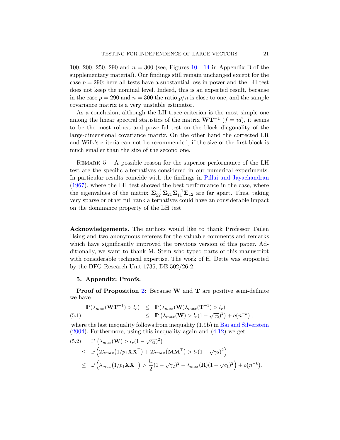100, 200, 250, 290 and  $n = 300$  (see, Figures 10 - 14 in Appendix B of the supplementary material). Our findings still remain unchanged except for the case  $p = 290$ : here all tests have a substantial loss in power and the LH test does not keep the nominal level. Indeed, this is an expected result, because in the case  $p = 290$  and  $n = 300$  the ratio  $p/n$  is close to one, and the sample covariance matrix is a very unstable estimator.

As a conclusion, although the LH trace criterion is the most simple one among the linear spectral statistics of the matrix  $W T^{-1}$   $(f = id)$ , it seems to be the most robust and powerful test on the block diagonality of the large-dimensional covariance matrix. On the other hand the corrected LR and Wilk's criteria can not be recommended, if the size of the first block is much smaller than the size of the second one.

Remark 5. A possible reason for the superior performance of the LH test are the specific alternatives considered in our numerical experiments. In particular results coincide with the findings in Pillai and Jayachandran (1967), where the LH test showed the best performance in the case, where the eigenvalues of the matrix  $\Sigma_{22}^{-1}\Sigma_{21}\Sigma_{11}^{-1}\Sigma_{12}$  are far apart. Thus, taking very sparse or other full rank alternatives could have an considerable impact on the dominance property of the LH test.

Acknowledgements. The authors would like to thank Professor Tailen Hsing and two anonymous referees for the valuable comments and remarks which have significantly improved the previous version of this paper. Additionally, we want to thank M. Stein who typed parts of this manuscript with considerable technical expertise. The work of H. Dette was supported by the DFG Research Unit 1735, DE 502/26-2.

#### 5. Appendix: Proofs.

Proof of Proposition 2: Because W and T are positive semi-definite we have

$$
\mathbb{P}(\lambda_{max}(\mathbf{W}\mathbf{T}^{-1}) > l_r) \leq \mathbb{P}(\lambda_{max}(\mathbf{W})\lambda_{max}(\mathbf{T}^{-1}) > l_r)
$$
  
\n
$$
\leq \mathbb{P}(\lambda_{max}(\mathbf{W}) > l_r(1 - \sqrt{\gamma_2})^2) + o(n^{-k}),
$$

where the last inequality follows from inequality (1.9b) in Bai and Silverstein  $(2004)$ . Furthermore, using this inequality again and  $(4.12)$  we get

(5.2) 
$$
\mathbb{P}(\lambda_{max}(\mathbf{W}) > l_r(1-\sqrt{\gamma_2})^2)
$$
  
\n
$$
\leq \mathbb{P}\Big(2\lambda_{max}(1/p_1\mathbf{XX}^{\top}) + 2\lambda_{max}(\mathbf{MM}^{\top}) > l_r(1-\sqrt{\gamma_2})^2\Big)
$$
  
\n
$$
\leq \mathbb{P}\Big(\lambda_{max}(1/p_1\mathbf{XX}^{\top}) > \frac{l_r}{2}(1-\sqrt{\gamma_2})^2 - \lambda_{max}(\mathbf{R})(1+\sqrt{c_1})^2\Big) + o(n^{-k}).
$$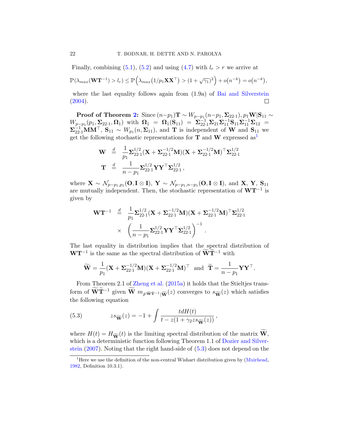Finally, combining  $(5.1)$ ,  $(5.2)$  and using  $(4.7)$  with  $l_r > r$  we arrive at

$$
\mathbb{P}(\lambda_{max}(\mathbf{W}\mathbf{T}^{-1}) > l_r) \leq \mathbb{P}\Big(\lambda_{max}\big(1/p_1\mathbf{X}\mathbf{X}^{\top}\big) > (1+\sqrt{\gamma_1})^2\Big) + o\big(n^{-k}\big) = o\big(n^{-k}\big),
$$

where the last equality follows again from (1.9a) of Bai and Silverstein  $(2004).$  $\Box$ 

Proof of Theorem 2: Since  $(n-p_1)\mathbf{T} \sim W_{p-p_1}(n-p_1,\boldsymbol{\Sigma}_{22\cdot 1}), p_1\mathbf{W}|\mathbf{S}_{11} \sim$  $W_{p-p_1}(p_1, \Sigma_{22\cdot 1}, \mathbf{\Omega}_1)$  with  $\mathbf{\Omega}_1 = \mathbf{\Omega}_1(\mathbf{S}_{11}) = \Sigma_{22\cdot 1}^{-1} \Sigma_{21} \Sigma_{11}^{-1} \mathbf{S}_{11} \Sigma_{11}^{-1} \Sigma_{12} =$  $\mathbf{\Sigma}_{22\cdot1}^{-1}\mathbf{M}\mathbf{M}^{\top}$ ,  $\mathbf{S}_{11} \sim W_{p_1}(n, \mathbf{\Sigma}_{11})$ , and **T** is independent of **W** and  $\mathbf{S}_{11}$  we get the following stochastic representations for  $T$  and  $W$  expressed as<sup>1</sup>

$$
\mathbf{W} \stackrel{d}{=} \frac{1}{p_1} \mathbf{\Sigma}_{22\cdot 1}^{1/2} (\mathbf{X} + \mathbf{\Sigma}_{22\cdot 1}^{-1/2} \mathbf{M}) (\mathbf{X} + \mathbf{\Sigma}_{22\cdot 1}^{-1/2} \mathbf{M})^{\top} \mathbf{\Sigma}_{22\cdot 1}^{1/2}
$$

$$
\mathbf{T} \stackrel{d}{=} \frac{1}{n - p_1} \mathbf{\Sigma}_{22\cdot 1}^{1/2} \mathbf{Y} \mathbf{Y}^{\top} \mathbf{\Sigma}_{22\cdot 1}^{1/2},
$$

where  $\mathbf{X} \sim \mathcal{N}_{p-p_1,p_1}(\mathbf{O}, \mathbf{I} \otimes \mathbf{I}), \ \mathbf{Y} \sim \mathcal{N}_{p-p_1,n-p_1}(\mathbf{O}, \mathbf{I} \otimes \mathbf{I}), \text{ and } \mathbf{X}, \ \mathbf{Y}, \ \mathbf{S}_{11}$ are mutually independent. Then, the stochastic representation of  $W T^{-1}$  is given by

$$
\mathbf{W}\mathbf{T}^{-1} \stackrel{d}{=} \frac{1}{p_1} \mathbf{\Sigma}_{22\cdot 1}^{1/2} (\mathbf{X} + \mathbf{\Sigma}_{22\cdot 1}^{-1/2} \mathbf{M}) (\mathbf{X} + \mathbf{\Sigma}_{22\cdot 1}^{-1/2} \mathbf{M})^{\top} \mathbf{\Sigma}_{22\cdot 1}^{1/2} \times \left( \frac{1}{n - p_1} \mathbf{\Sigma}_{22\cdot 1}^{1/2} \mathbf{Y} \mathbf{Y}^{\top} \mathbf{\Sigma}_{22\cdot 1}^{1/2} \right)^{-1} .
$$

The last equality in distribution implies that the spectral distribution of  $\mathbf{W}\mathbf{T}^{-1}$  is the same as the spectral distribution of  $\mathbf{W}\mathbf{T}^{-1}$  with

$$
\widetilde{\mathbf{W}} = \frac{1}{p_1} (\mathbf{X} + \Sigma_{22\cdot 1}^{-1/2} \mathbf{M}) (\mathbf{X} + \Sigma_{22\cdot 1}^{-1/2} \mathbf{M})^\top \text{ and } \widetilde{\mathbf{T}} = \frac{1}{n - p_1} \mathbf{Y} \mathbf{Y}^\top.
$$

From Theorem 2.1 of Zheng et al. (2015a) it holds that the Stieltjes transform of  $\overline{\mathbf{W}}\mathbf{T}^{-1}$  given  $\overline{\mathbf{W}}$   $m_F\widetilde{\mathbf{w}}\widetilde{\mathbf{T}}^{-1}|\widetilde{\mathbf{W}}(z)$  converges to  $s_{\widetilde{\mathbf{W}}}(z)$  which satisfies the following equation

(5.3) 
$$
zs_{\widetilde{\mathbf{W}}}(z) = -1 + \int \frac{tdH(t)}{t - z(1 + \gamma_2 z s_{\widetilde{\mathbf{W}}}(z))},
$$

where  $H(t) = H_{\widetilde{\mathbf{W}}}(t)$  is the limiting spectral distribution of the matrix  $\widetilde{\mathbf{W}}$ , which is a deterministic function following Theorem 1.1 of Dozier and Silverstein (2007). Noting that the right hand-side of (5.3) does not depend on the

<sup>&</sup>lt;sup>1</sup>Here we use the definition of the non-central Wishart distribution given by  $(Muirhead,$ 1982, Definition 10.3.1).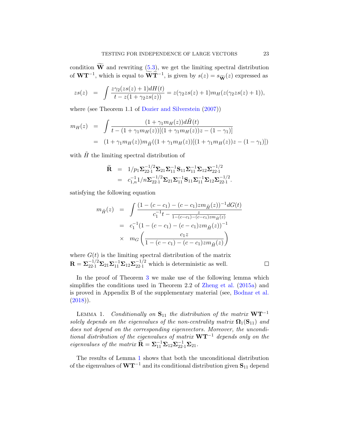condition  $\widetilde{W}$  and rewriting (5.3), we get the limiting spectral distribution of  $WT^{-1}$ , which is equal to  $\widetilde{WT}^{-1}$ , is given by  $s(z) = s_{\widetilde{W}}(z)$  expressed as

$$
zs(z) = \int \frac{z\gamma_2(zs(z)+1)dH(t)}{t - z(1+\gamma_2zs(z))} = z(\gamma_2zs(z)+1)m_H(z(\gamma_2zs(z)+1)),
$$

where (see Theorem 1.1 of Dozier and Silverstein  $(2007)$ )

$$
m_H(z) = \int \frac{(1 + \gamma_1 m_H(z))d\tilde{H}(t)}{t - (1 + \gamma_1 m_H(z))[(1 + \gamma_1 m_H(z))z - (1 - \gamma_1)]}
$$
  
= 
$$
(1 + \gamma_1 m_H(z))m_{\tilde{H}}((1 + \gamma_1 m_H(z))[(1 + \gamma_1 m_H(z))z - (1 - \gamma_1)])
$$

with  $\tilde{H}$  the limiting spectral distribution of

$$
\widetilde{\mathbf{R}} = 1/p_1 \Sigma_{22\cdot 1}^{-1/2} \Sigma_{21} \Sigma_{11}^{-1} \mathbf{S}_{11} \Sigma_{11}^{-1} \Sigma_{12} \Sigma_{22\cdot 1}^{-1/2} \n= c_{1,n}^{-1} 1/n \Sigma_{22\cdot 1}^{-1/2} \Sigma_{21} \Sigma_{11}^{-1} \mathbf{S}_{11} \Sigma_{11}^{-1} \Sigma_{12} \Sigma_{22\cdot 1}^{-1/2}.
$$

satisfying the following equation

$$
m_{\tilde{H}}(z) = \int \frac{(1 - (c - c_1) - (c - c_1)zm_{\tilde{H}}(z))^{-1}dG(t)}{c_1^{-1}t - \frac{z}{1 - (c - c_1) - (c - c_1)zm_{\tilde{H}}(z)}}
$$
  
=  $c_1^{-1}(1 - (c - c_1) - (c - c_1)zm_{\tilde{H}}(z))^{-1}$   
 $\times m_G\left(\frac{c_1z}{1 - (c - c_1) - (c - c_1)zm_{\tilde{H}}(z)}\right)$ 

where  $G(t)$  is the limiting spectral distribution of the matrix  $\mathbf{R} = \mathbf{\Sigma}_{22 \cdot 1}^{-1/2} \mathbf{\Sigma}_{21} \mathbf{\Sigma}_{11}^{-1} \mathbf{\Sigma}_{12} \mathbf{\Sigma}_{22 \cdot 1}^{-1/2}$  which is deterministic as well.

In the proof of Theorem 3 we make use of the following lemma which simplifies the conditions used in Theorem 2.2 of Zheng et al. (2015a) and is proved in Appendix B of the supplementary material (see, Bodnar et al.  $(2018)$ .

LEMMA 1. Conditionally on  $S_{11}$  the distribution of the matrix  $WT^{-1}$ solely depends on the eigenvalues of the non-centrality matrix  $\Omega_1(S_{11})$  and does not depend on the corresponding eigenvectors. Moreover, the unconditional distribution of the eigenvalues of matrix  $\mathbf{W}\mathbf{T}^{-1}$  depends only on the eigenvalues of the matrix  $\widetilde{\mathbf{R}} = \Sigma_{11}^{-1} \Sigma_{12} \Sigma_{22 \cdot 1}^{-1} \Sigma_{21}$ .

The results of Lemma 1 shows that both the unconditional distribution of the eigenvalues of  $WT^{-1}$  and its conditional distribution given  $S_{11}$  depend

 $\Box$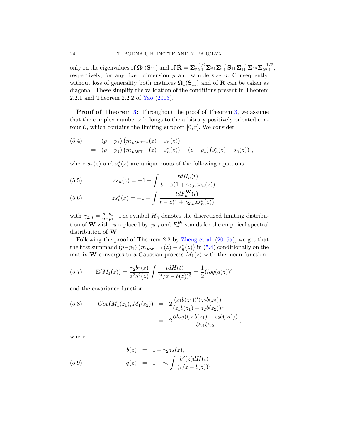only on the eigenvalues of  $\mathbf{\Omega}_1(\mathbf{S}_{11})$  and of  $\widetilde{\mathbf{R}} = \mathbf{\Sigma}_{22\cdot 1}^{-1/2} \mathbf{\Sigma}_{21} \mathbf{\Sigma}_{11}^{-1} \mathbf{S}_{11} \mathbf{\Sigma}_{11}^{-1} \mathbf{\Sigma}_{12} \mathbf{\Sigma}_{22\cdot 1}^{-1/2}$  $\frac{-1}{2}$ ,  $\frac{2}{1}$ , respectively, for any fixed dimension  $p$  and sample size  $n$ . Consequently, without loss of generality both matrices  $\Omega_1(S_{11})$  and of **R** can be taken as diagonal. These simplify the validation of the conditions present in Theorem 2.2.1 and Theorem 2.2.2 of Yao (2013).

**Proof of Theorem 3:** Throughout the proof of Theorem 3, we assume that the complex number z belongs to the arbitrary positively oriented contour  $\mathcal{C}$ , which contains the limiting support  $[0, r]$ . We consider

(5.4) 
$$
(p-p_1) (m_{FWT^{-1}}(z) - s_n(z))
$$

$$
= (p-p_1) (m_{FWT^{-1}}(z) - s_n^*(z)) + (p-p_1) (s_n^*(z) - s_n(z)),
$$

where  $s_n(z)$  and  $s_n^*(z)$  are unique roots of the following equations

(5.5) 
$$
zs_n(z) = -1 + \int \frac{tdH_n(t)}{t - z(1 + \gamma_{2,n}zs_n(z))}
$$

(5.6) 
$$
zs_n^*(z) = -1 + \int \frac{tdF_n^{\mathbf{W}}(t)}{t - z(1 + \gamma_{2,n}zs_n^*(z))}
$$

with  $\gamma_{2,n} = \frac{p-p_1}{n-p_1}$  $\frac{p-p_1}{p-p_1}$ . The symbol  $H_n$  denotes the discretized limiting distribution of **W** with  $\gamma_2$  replaced by  $\gamma_{2,n}$  and  $F_n^{\mathbf{W}}$  stands for the empirical spectral distribution of W.

Following the proof of Theorem 2.2 by Zheng et al. (2015a), we get that the first summand  $(p-p_1)\left(m_{F^{\mathbf{W}\mathbf{T}^{-1}}}(z) - s_n^*(z)\right)$  in (5.4) conditionally on the matrix **W** converges to a Gaussian process  $M_1(z)$  with the mean function

(5.7) 
$$
E(M_1(z)) = \frac{\gamma_2 b^3(z)}{z^2 q^2(z)} \int \frac{tdH(t)}{(t/z - b(z))^3} = \frac{1}{2} (log(q(z))'
$$

and the covariance function

(5.8) 
$$
Cov(M_1(z_1), M_1(z_2)) = 2 \frac{(z_1 b(z_1))'(z_2 b(z_2))'}{(z_1 b(z_1) - z_2 b(z_2))^2}
$$

$$
= 2 \frac{\partial \log((z_1 b(z_1) - z_2 b(z_2)))}{\partial z_1 \partial z_2},
$$

where

(5.9) 
$$
b(z) = 1 + \gamma_2 z s(z), q(z) = 1 - \gamma_2 \int \frac{b^2(z) dH(t)}{(t/z - b(z))^2}
$$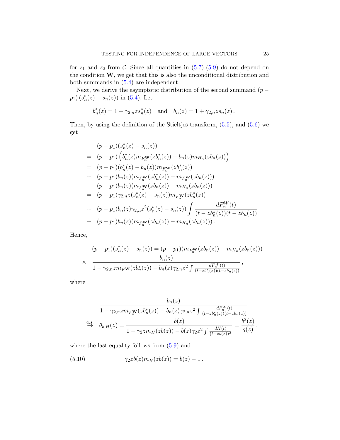for  $z_1$  and  $z_2$  from C. Since all quantities in  $(5.7)-(5.9)$  do not depend on the condition  $W$ , we get that this is also the unconditional distribution and both summands in (5.4) are independent.

Next, we derive the asymptotic distribution of the second summand  $(p$  $p_1)(s_n^*(z) - s_n(z))$  in (5.4). Let

$$
b_n^*(z) = 1 + \gamma_{2,n} z s_n^*(z)
$$
 and  $b_n(z) = 1 + \gamma_{2,n} z s_n(z)$ .

Then, by using the definition of the Stieltjes transform,  $(5.5)$ , and  $(5.6)$  we get

$$
(p-p_1)(s_n^*(z) - s_n(z))
$$
  
=  $(p-p_1) (b_n^*(z)m_{F_n^{\mathbf{W}}}(zb_n^*(z)) - b_n(z)m_{H_n}(zb_n(z)))$   
=  $(p-p_1)(b_n^*(z) - b_n(z))m_{F_n^{\mathbf{W}}}(zb_n^*(z))$   
+  $(p-p_1)b_n(z)(m_{F_n^{\mathbf{W}}}(zb_n^*(z)) - m_{F_n^{\mathbf{W}}}(zb_n(z)))$   
+  $(p-p_1)b_n(z)(m_{F_n^{\mathbf{W}}}(zb_n(z)) - m_{H_n}(zb_n(z)))$   
=  $(p-p_1)\gamma_{2,n}z(s_n^*(z) - s_n(z))m_{F_n^{\mathbf{W}}}(zb_n^*(z))$   
+  $(p-p_1)b_n(z)\gamma_{2,n}z^2(s_n^*(z) - s_n(z))\int \frac{dF_n^{\mathbf{W}}(t)}{(t - zb_n^*(z))(t - zb_n(z))}$   
+  $(p-p_1)b_n(z)(m_{F_n^{\mathbf{W}}}(zb_n(z)) - m_{H_n}(zb_n(z))).$ 

Hence,

$$
(p-p_1)(s_n^*(z) - s_n(z)) = (p-p_1)(m_{F_n^{\mathbf{W}}}(zb_n(z)) - m_{H_n}(zb_n(z)))
$$
  
 
$$
\times \frac{b_n(z)}{1 - \gamma_{2,n}zm_{F_n^{\mathbf{W}}}(zb_n^*(z)) - b_n(z)\gamma_{2,n}z^2 \int \frac{dF_n^{\mathbf{W}}(t)}{(t - zb_n^*(z))(t - zb_n(z))}
$$

where

$$
\frac{b_n(z)}{1 - \gamma_{2,n} z m_{F_n^{\mathbf{W}}}(z b_n^*(z)) - b_n(z) \gamma_{2,n} z^2 \int \frac{dF_n^{\mathbf{W}}(t)}{(t - z b_n^*(z))(t - z b_n(z))}
$$
  

$$
\xrightarrow{a.s.} \quad \theta_{b,H}(z) = \frac{b(z)}{1 - \gamma_2 z m_H(z b(z)) - b(z) \gamma_2 z^2 \int \frac{dH(t)}{(t - z b(z))^2}} = \frac{b^2(z)}{q(z)},
$$

where the last equality follows from  $(5.9)$  and

(5.10) 
$$
\gamma_2 z b(z) m_H(z b(z)) = b(z) - 1.
$$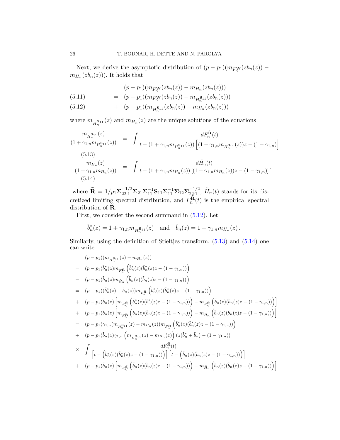Next, we derive the asymptotic distribution of  $(p - p_1)(m_{F_N^{\mathbf{W}}}(zb_n(z))$  –  $m_{H_n}(zb_n(z))$ ). It holds that

$$
(p-p_1)(m_{F_n^{\mathbf{W}}}(zb_n(z))-m_{H_n}(zb_n(z)))
$$

$$
(5.11) \qquad = \quad (p-p_1)(m_{F_n^{\mathbf{W}}}(zb_n(z)) - m_{H_n^{\mathbf{S}_{11}}}(zb_n(z)))
$$

$$
(5.12) \t\t\t + \t(p-p_1)(m_{H_n^{S_{11}}}(zb_n(z))-m_{H_n}(zb_n(z)))
$$

where  $m_{H_n^{\mathbf{S}_{11}}}(z)$  and  $m_{H_n}(z)$  are the unique solutions of the equations

$$
\frac{m_{H_n^{\mathbf{S}_{11}}}(z)}{(1+\gamma_{1,n}m_{H_n^{\mathbf{S}_{11}}}(z))} = \int \frac{dF_n^{\mathbf{\tilde{R}}}(t)}{t - (1+\gamma_{1,n}m_{H_n^{\mathbf{S}_{11}}}(z))\left[ (1+\gamma_{1,n}m_{H_n^{\mathbf{S}_{11}}}(z))z - (1-\gamma_{1,n}) \right]}
$$
\n(5.13)\n
$$
\frac{m_{H_n}(z)}{(1+\gamma_{1,n}m_{H_n}(z))} = \int \frac{d\tilde{H}_n(t)}{t - (1+\gamma_{1,n}m_{H_n}(z))\left[ (1+\gamma_{1,n}m_{H_n}(z))z - (1-\gamma_{1,n}) \right]},
$$
\n(5.14)

where  $\widetilde{\mathbf{R}} = 1/p_1 \Sigma_{22\cdot 1}^{-1/2} \Sigma_{21} \Sigma_{11}^{-1} \mathbf{S}_{11} \Sigma_{11}^{-1} \Sigma_{12} \Sigma_{22\cdot 1}^{-1/2}$  $\frac{-1/2}{22\cdot1}$ ,  $\tilde{H}_n(t)$  stands for its discretized limiting spectral distribution, and  $F_n^{\tilde{\mathbf{R}}}$  $n^{H}(t)$  is the empirical spectral distribution of  $\ddot{\mathbf{R}}$ .

First, we consider the second summand in (5.12). Let

$$
\tilde{b}_n^*(z) = 1 + \gamma_{1,n} m_{H_n^{\mathbf{S}_{11}}}(z)
$$
 and  $\tilde{b}_n(z) = 1 + \gamma_{1,n} m_{H_n}(z)$ .

Similarly, using the definition of Stieltjes transform,  $(5.13)$  and  $(5.14)$  one can write

$$
(p-p_{1})(m_{H_{n}^{\mathbf{S}_{11}}}(z) - m_{H_{n}}(z))
$$
\n
$$
= (p-p_{1})\tilde{b}_{n}^{*}(z)m_{F_{n}^{\mathbf{R}}}\left(\tilde{b}_{n}^{*}(z)(\tilde{b}_{n}^{*}(z)z - (1 - \gamma_{1,n}))\right)
$$
\n
$$
- (p-p_{1})\tilde{b}_{n}(z)m_{\tilde{H}_{n}}\left(\tilde{b}_{n}(z)(\tilde{b}_{n}(z)z - (1 - \gamma_{1,n}))\right)
$$
\n
$$
= (p-p_{1})(\tilde{b}_{n}^{*}(z) - \tilde{b}_{n}(z))m_{F_{n}^{\mathbf{R}}}\left(\tilde{b}_{n}^{*}(z)(\tilde{b}_{n}^{*}(z)z - (1 - \gamma_{1,n}))\right)
$$
\n
$$
+ (p-p_{1})\tilde{b}_{n}(z)\left[m_{F_{n}^{\mathbf{R}}}\left(\tilde{b}_{n}^{*}(z)(\tilde{b}_{n}^{*}(z)z - (1 - \gamma_{1,n}))\right) - m_{F_{n}^{\mathbf{R}}}\left(\tilde{b}_{n}(z)(\tilde{b}_{n}(z)z - (1 - \gamma_{1,n}))\right)\right]
$$
\n
$$
+ (p-p_{1})\tilde{b}_{n}(z)\left[m_{F_{n}^{\mathbf{R}}}\left(\tilde{b}_{n}(z)(\tilde{b}_{n}(z)z - (1 - \gamma_{1,n}))\right) - m_{\tilde{H}_{n}}\left(\tilde{b}_{n}(z)(\tilde{b}_{n}(z)z - (1 - \gamma_{1,n}))\right)\right]
$$
\n
$$
= (p-p_{1})\gamma_{1,n}(m_{H_{n}^{\mathbf{S}_{11}}}(z) - m_{H_{n}}(z))m_{F_{n}^{\mathbf{R}}}\left(\tilde{b}_{n}^{*}(z)(\tilde{b}_{n}^{*}(z)z - (1 - \gamma_{1,n}))\right)
$$
\n
$$
+ (p-p_{1})\tilde{b}_{n}(z)\gamma_{1,n}\left(m_{H_{n}^{\mathbf{S}_{11}}}(z) - m_{H_{n}}(z)\right)(z(\tilde{b}_{n}^{*} + \tilde{b}_{n}) - (1 - \gamma_{1,n}))\right)
$$
\n
$$
\times \int \
$$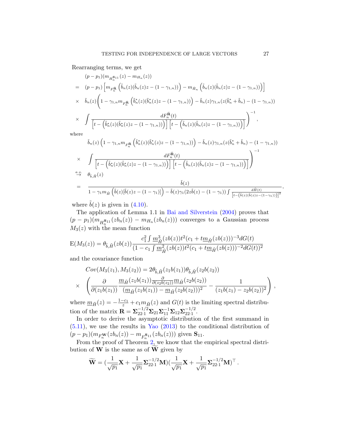Rearranging terms, we get

$$
(p-p_{1})(m_{H_{n}^{S_{11}}}(z) - m_{H_{n}}(z))
$$
\n
$$
= (p-p_{1}) \left[ m_{F_{n}^{\tilde{\mathbf{R}}}} \left( \tilde{b}_{n}(z) (\tilde{b}_{n}(z)z - (1 - \gamma_{1,n})) \right) - m_{\tilde{H}_{n}} \left( \tilde{b}_{n}(z) (\tilde{b}_{n}(z)z - (1 - \gamma_{1,n})) \right) \right]
$$
\n
$$
\times \quad \tilde{b}_{n}(z) \left( 1 - \gamma_{1,n} m_{F_{n}^{\tilde{\mathbf{R}}}} \left( \tilde{b}_{n}^{*}(z) (\tilde{b}_{n}^{*}(z)z - (1 - \gamma_{1,n})) \right) - \tilde{b}_{n}(z) \gamma_{1,n}(z (\tilde{b}_{n}^{*} + \tilde{b}_{n}) - (1 - \gamma_{1,n})) \right)
$$
\n
$$
\times \quad \int \left[ t - \left( \tilde{b}_{n}^{*}(z) (\tilde{b}_{n}^{*}(z)z - (1 - \gamma_{1,n})) \right) \right] \left[ t - \left( \tilde{b}_{n}(z) (\tilde{b}_{n}(z)z - (1 - \gamma_{1,n})) \right) \right]^{-1},
$$

where

$$
\tilde{b}_n(z) \left(1 - \gamma_{1,n} m_{F_n^{\tilde{\mathbf{R}}}} \left( \tilde{b}_n^*(z) (\tilde{b}_n^*(z)z - (1 - \gamma_{1,n})) \right) - \tilde{b}_n(z) \gamma_{1,n}(z(\tilde{b}_n^* + \tilde{b}_n) - (1 - \gamma_{1,n}))
$$
\n
$$
\times \int \frac{dF_n^{\tilde{\mathbf{R}}}(t)}{\left[ t - \left( \tilde{b}_n^*(z) (\tilde{b}_n^*(z)z - (1 - \gamma_{1,n})) \right) \right] \left[ t - \left( \tilde{b}_n(z) (\tilde{b}_n(z)z - (1 - \gamma_{1,n})) \right) \right]} \right)^{-1}
$$
\n
$$
= \frac{\tilde{b}(z)}{1 - \gamma_1 m_{\tilde{H}} \left( \tilde{b}(z) [\tilde{b}(z)z - (1 - \gamma_{1})] \right) - \tilde{b}(z) \gamma_1(2z\tilde{b}(z) - (1 - \gamma_{1})) \int \frac{d\tilde{H}(t)}{\left[ t - \left( \tilde{b}(z) (\tilde{b}(z)z - (1 - \gamma_{1})) \right) \right]^2}
$$

where  $\tilde{b}(z)$  is given in (4.10).

The application of Lemma 1.1 in Bai and Silverstein (2004) proves that  $(p-p_1)(m_{H_n^{\mathbf{S}_{11}}}(zb_n(z))-m_{H_n}(zb_n(z)))$  converges to a Gaussian process  $M_3(z)$  with the mean function

$$
E(M_3(z)) = \theta_{\tilde{b}, \tilde{H}}(zb(z)) \frac{c_1^2 \int m_{\tilde{H}}^3 (zb(z)) t^2 (c_1 + t m_{\tilde{H}}(zb(z)))^{-3} dG(t)}{(1 - c_1 \int m_{\tilde{H}}^2 (zb(z)) t^2 (c_1 + t m_{\tilde{H}}(zb(z)))^{-2} dG(t))^2}
$$

and the covariance function

$$
Cov(M_3(z_1), M_3(z_2)) = 2\theta_{\tilde{b}, \tilde{H}}(z_1 b(z_1))\theta_{\tilde{b}, \tilde{H}}(z_2 b(z_2))
$$
  
 
$$
\times \left( \frac{\partial}{\partial (z_1 b(z_1))} \frac{m_{\tilde{H}}(z_1 b(z_1)) \frac{\partial}{\partial (z_2 b(z_2))} m_{\tilde{H}}(z_2 b(z_2))}{(\underline{m}_{\tilde{H}}(z_1 b(z_1)) - \underline{m}_{\tilde{H}}(z_2 b(z_2)))^2} - \frac{1}{(z_1 b(z_1) - z_2 b(z_2))^2} \right),
$$

where  $\underline{m}_{\tilde{H}}(z) = -\frac{1-c_1}{z} + c_1 m_{\tilde{H}}(z)$  and  $G(t)$  is the limiting spectral distribution of the matrix  $\mathbf{R} = \sum_{22 \cdot 1}^{-1/2} \Sigma_{21} \Sigma_{11}^{-1} \Sigma_{12} \Sigma_{22 \cdot 1}^{-1/2}$  $\frac{-1/2}{22 \cdot 1}$ .

In order to derive the asymptotic distribution of the first summand in  $(5.11)$ , we use the results in Yao  $(2013)$  to the conditional distribution of  $(p-p_1)(m_{F_n^{\mathbf{W}}}(zb_n(z))-m_{F_n^{\mathbf{S}_{11}}}(zb_n(z)))$  given  $\mathbf{S}_{11}$ .

From the proof of Theorem 2, we know that the empirical spectral distribution of  $W$  is the same as of  $\overline{W}$  given by

$$
\widetilde{\mathbf{W}} = (\frac{1}{\sqrt{p_1}} \mathbf{X} + \frac{1}{\sqrt{p_1}} \Sigma_{22 \cdot 1}^{-1/2} \mathbf{M}) (\frac{1}{\sqrt{p_1}} \mathbf{X} + \frac{1}{\sqrt{p_1}} \Sigma_{22 \cdot 1}^{-1/2} \mathbf{M})^{\top}.
$$

,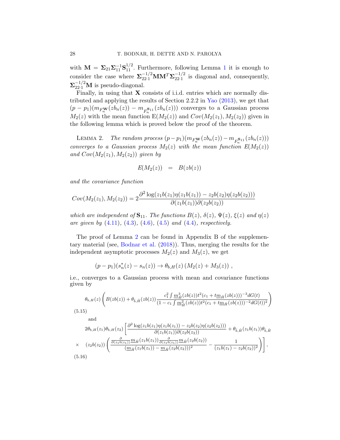with  $\mathbf{M} = \Sigma_{21} \Sigma_{11}^{-1} \mathbf{S}_{11}^{1/2}$ . Furthermore, following Lemma 1 it is enough to consider the case where  $\Sigma_{22\cdot 1}^{-1/2}$  MM<sup>T</sup>  $\Sigma_{22\cdot 1}^{-1/2}$  $\frac{-1}{22.1}$  is diagonal and, consequently,  $\Sigma_{22\cdot1}^{-1/2}$ M is pseudo-diagonal.

Finally, in using that **X** consists of i.i.d. entries which are normally distributed and applying the results of Section 2.2.2 in Yao (2013), we get that  $(p-p_1)(m_{F_n^{\mathbf{W}}}(zb_n(z))-m_{F_n^{\mathbf{S}11}}(zb_n(z)))$  converges to a Gaussian process  $M_2(z)$  with the mean function  $E(M_2(z))$  and  $Cov(M_2(z_1), M_2(z_2))$  given in the following lemma which is proved below the proof of the theorem.

LEMMA 2. The random process  $(p-p_1)(m_{F^{\mathbf{W}}_n}(zb_n(z))-m_{F^{\mathbf{S}11}_n}(zb_n(z)))$ converges to a Gaussian process  $M_2(z)$  with the mean function  $E(M_2(z))$ and  $Cov(M_2(z_1), M_2(z_2))$  given by

$$
E(M_2(z)) = B(zb(z))
$$

and the covariance function

$$
Cov(M_2(z_1), M_2(z_2)) = 2 \frac{\partial^2 \log(z_1 b(z_1) \eta(z_1 b(z_1)) - z_2 b(z_2) \eta(z_2 b(z_2)))}{\partial (z_1 b(z_1)) \partial (z_2 b(z_2))}
$$

which are independent of  $S_{11}$ . The functions  $B(z)$ ,  $\delta(z)$ ,  $\Psi(z)$ ,  $\xi(z)$  and  $\eta(z)$ are given by  $(4.11)$ ,  $(4.3)$ ,  $(4.6)$ ,  $(4.5)$  and  $(4.4)$ , respectively.

The proof of Lemma 2 can be found in Appendix B of the supplementary material (see, Bodnar et al. (2018)). Thus, merging the results for the independent asymptotic processes  $M_2(z)$  and  $M_3(z)$ , we get

$$
(p-p_1)(s_n^*(z) - s_n(z)) \to \theta_{b,H}(z) (M_2(z) + M_3(z)),
$$

i.e., converges to a Gaussian process with mean and covariance functions given by

$$
\theta_{b,H}(z) \left( B(zb(z)) + \theta_{\tilde{b},\tilde{H}}(zb(z)) \frac{c_1^2 \int \underline{m}_{\tilde{H}}^3(zb(z)) t^2 (c_1 + t \underline{m}_{\tilde{H}}(zb(z)))^{-3} dG(t)}{(1 - c_1 \int \underline{m}_{\tilde{H}}^2(zb(z)) t^2 (c_1 + t \underline{m}_{\tilde{H}}(zb(z)))^{-2} dG(t))^2} \right)
$$
  
5.15)

(5.15)

and

$$
2\theta_{b,H}(z_1)\theta_{b,H}(z_2) \left[ \frac{\partial^2 \log(z_1 b(z_1)\eta(z_1 b(z_1)) - z_2 b(z_2)\eta(z_2 b(z_2)))}{\partial(z_1 b(z_1))\partial(z_2 b(z_2))} + \theta_{\tilde{b},\tilde{H}}(z_1 b(z_1))\theta_{\tilde{b},\tilde{H}} \times (z_2 b(z_2)) \left( \frac{\frac{\partial}{\partial(z_1 b(z_1))} m_{\tilde{H}}(z_1 b(z_1)) \frac{\partial}{\partial(z_1 b(z_1))} m_{\tilde{H}}(z_2 b(z_2))}{(\underline{m}_{\tilde{H}}(z_1 b(z_1)) - \underline{m}_{\tilde{H}}(z_2 b(z_2)))^2} - \frac{1}{(z_1 b(z_1) - z_2 b(z_2))^2} \right),
$$
\n(5.16)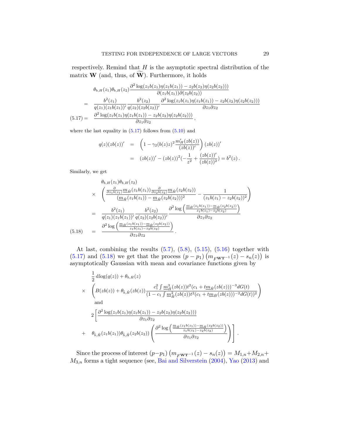respectively. Remind that  $H$  is the asymptotic spectral distribution of the matrix **W** (and, thus, of  $\widetilde{\mathbf{W}}$ ). Furthermore, it holds

$$
\theta_{b,H}(z_1)\theta_{b,H}(z_2) \frac{\partial^2 \log(z_1 b(z_1)\eta(z_1 b(z_1)) - z_2 b(z_2)\eta(z_2 b(z_2)))}{\partial(z_1 b(z_1))\partial(z_2 b(z_2))}
$$
\n
$$
= \frac{b^2(z_1)}{q(z_1)(z_1 b(z_1))'} \frac{b^2(z_2)}{q(z_2)(z_2 b(z_2))'} \frac{\partial^2 \log(z_1 b(z_1)\eta(z_1 b(z_1)) - z_2 b(z_2)\eta(z_2 b(z_2)))}{\partial z_1 \partial z_2}
$$
\n
$$
(5.17) = \frac{\partial^2 \log(z_1 b(z_1)\eta(z_1 b(z_1)) - z_2 b(z_2)\eta(z_2 b(z_2)))}{\partial z_1 \partial z_2},
$$

where the last equality in  $(5.17)$  follows from  $(5.10)$  and

$$
q(z)(zb(z))' = \left(1 - \gamma_2(b(z)z)^2 \frac{m'_H(zb(z))}{(zb(z))'}\right) (zb(z))'
$$
  
= 
$$
(zb(z))' - (zb(z))^2(-\frac{1}{z^2} + \frac{(zb(z))'}{(zb(z))^2}) = b^2(z).
$$

Similarly, we get

$$
\theta_{b,H}(z_1)\theta_{b,H}(z_2)
$$
\n
$$
\times \begin{pmatrix}\n\frac{\partial}{\partial z_1 b(z_1)} \underline{m}_{\tilde{H}}(z_1 b(z_1)) \frac{\partial}{\partial z_2 b(z_2)} \underline{m}_{\tilde{H}}(z_2 b(z_2)) - \frac{1}{(z_1 b(z_1) - z_2 b(z_2))^2} \\
\frac{(\underline{m}_{\tilde{H}}(z_1 b(z_1)) - \underline{m}_{\tilde{H}}(z_2 b(z_2)))^2}{(z_1)(z_1 b(z_1))'} \frac{b^2(z_2)}{q(z_2)(z_2 b(z_2))'} \frac{\partial^2 \log \left(\frac{\underline{m}_{\tilde{H}}(z_1 b(z_1)) - \underline{m}_{\tilde{H}}(z_2 b(z_2))}{z_1 b(z_1) - z_2 b(z_2)}\right)}{(z_1 \theta_{\tilde{H}}(z_1 b(z_1)) - \underline{m}_{\tilde{H}}(z_2 b(z_2))'} \\
\frac{\partial^2 \log \left(\frac{\underline{m}_{\tilde{H}}(z_1 b(z_1)) - \underline{m}_{\tilde{H}}(z_2 b(z_2))}{z_1 b(z_1) - z_2 b(z_2)}\right)}{z_1 \partial z_2}.\n\end{pmatrix}
$$
\n(5.18)

At last, combining the results (5.7), (5.8), (5.15), (5.16) together with (5.17) and (5.18) we get that the process  $(p - p_1) (m_{FWT^{-1}}(z) - s_n(z))$  is asymptotically Gaussian with mean and covariance functions given by

$$
\frac{1}{2} \operatorname{dlog}(q(z)) + \theta_{b,H}(z)
$$
\n
$$
\times \left( B(zb(z)) + \theta_{\tilde{b},\tilde{H}}(zb(z)) \frac{c_1^2 \int m_H^3(zb(z))t^2 (c_1 + t m_{\tilde{H}}(zb(z)))^{-3} dG(t)}{(1 - c_1 \int m_{\tilde{H}}^2(zb(z))t^2 (c_1 + t m_{\tilde{H}}(zb(z)))^{-2} dG(t))^2} \right)
$$
\nand\n
$$
2 \left[ \frac{\partial^2 \log(z_1 b(z_1) \eta(z_1 b(z_1)) - z_2 b(z_2) \eta(z_2 b(z_2)))}{\partial z_1 \partial z_2} + \theta_{\tilde{b},\tilde{H}}(z_1 b(z_1)) \theta_{\tilde{b},\tilde{H}}(z_2 b(z_2)) \left( \frac{\partial^2 \log \left( \frac{m_{\tilde{H}}(z_1 b(z_1)) - m_{\tilde{H}}(z_2 b(z_2))}{z_1 b(z_1) - z_2 b(z_2)} \right)}{\partial z_1 \partial z_2} \right) \right].
$$

Since the process of interest  $(p-p_1) (m_{F^{WT^{-1}}}(z) - s_n(z)) = M_{1,n} + M_{2,n} +$  $M_{3,n}$  forms a tight sequence (see, Bai and Silverstein (2004), Yao (2013) and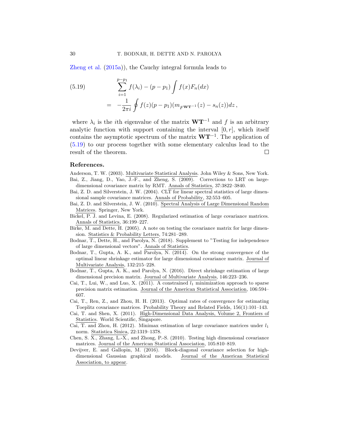Zheng et al. (2015a)), the Cauchy integral formula leads to

(5.19) 
$$
\sum_{i=1}^{p-p_1} f(\lambda_i) - (p-p_1) \int f(x) F_n(dx)
$$

$$
= -\frac{1}{2\pi i} \oint f(z) (p-p_1) (m_F \mathbf{w} \mathbf{r}^{-1}(z) - s_n(z)) dz,
$$

where  $\lambda_i$  is the *i*th eigenvalue of the matrix  $W T^{-1}$  and f is an arbitrary analytic function with support containing the interval  $[0, r]$ , which itself contains the asymptotic spectrum of the matrix  $W T^{-1}$ . The application of (5.19) to our process together with some elementary calculus lead to the result of the theorem.  $\Box$ 

#### References.

- Anderson, T. W. (2003). Multivariate Statistical Analysis. John Wiley & Sons, New York. Bai, Z., Jiang, D., Yao, J.-F., and Zheng, S. (2009). Corrections to LRT on largedimensional covariance matrix by RMT. Annals of Statistics, 37:3822–3840.
- Bai, Z. D. and Silverstein, J. W. (2004). CLT for linear spectral statistics of large dimensional sample covariance matrices. Annals of Probability, 32:553–605.
- Bai, Z. D. and Silverstein, J. W. (2010). Spectral Analysis of Large Dimensional Random Matrices. Springer, New York.
- Bickel, P. J. and Levina, E. (2008). Regularized estimation of large covariance matrices. Annals of Statistics, 36:199–227.
- Birke, M. and Dette, H. (2005). A note on testing the covariance matrix for large dimension. Statistics & Probability Letters, 74:281–289.
- Bodnar, T., Dette, H., and Parolya, N. (2018). Supplement to "Testing for independence of large dimensional vectors". Annals of Statistics.
- Bodnar, T., Gupta, A. K., and Parolya, N. (2014). On the strong convergence of the optimal linear shrinkage estimator for large dimensional covariance matrix. Journal of Multivariate Analysis, 132:215–228.
- Bodnar, T., Gupta, A. K., and Parolya, N. (2016). Direct shrinkage estimation of large dimensional precision matrix. Journal of Multivariate Analysis, 146:223–236.
- Cai, T., Lui, W., and Luo, X. (2011). A constrained  $l_1$  minimization approach to sparse precision matrix estimation. Journal of the American Statistical Association, 106:594– 607.
- Cai, T., Ren, Z., and Zhou, H. H. (2013). Optimal rates of convergence for estimating Toeplitz covariance matrices. Probability Theory and Related Fields, 156(1):101–143.
- Cai, T. and Shen, X. (2011). High-Dimensional Data Analysis, Volume 2, Frontiers of Statistics. World Scientific, Singapore.
- Cai, T. and Zhou, H. (2012). Minimax estimation of large covariance matrices under  $l_1$ norm. Statistica Sinica, 22:1319–1378.
- Chen, S. X., Zhang, L.-X., and Zhong, P.-S. (2010). Testing high dimensional covariance matrices. Journal of the American Statistical Association, 105:810–819.
- Devijver, E. and Gallopin, M. (2016). Block-diagonal covariance selection for highdimensional Gaussian graphical models. Journal of the American Statistical Association, to appear.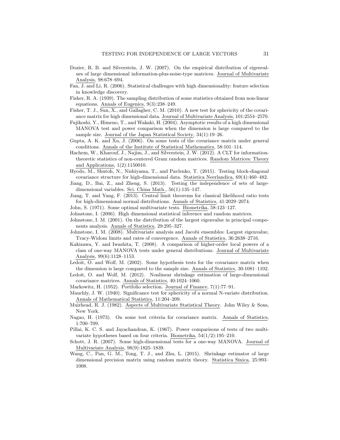- Dozier, R. B. and Silverstein, J. W. (2007). On the empirical distribution of eigenvalues of large dimensional information-plus-noise-type matrices. Journal of Multivariate Analysis, 98:678–694.
- Fan, J. and Li, R. (2006). Statistical challenges with high dimensionality: feature selection in knowledge discovery.
- Fisher, R. A. (1939). The sampling distribution of some statistics obtained from non-linear equations. Annals of Eugenics, 9(3):238–249.
- Fisher, T. J., Sun, X., and Gallagher, C. M. (2010). A new test for sphericity of the covariance matrix for high dimensional data. Journal of Multivariate Analysis, 101:2554–2570.
- Fujikoshi, Y., Himeno, T., and Wakaki, H. (2004). Asymptotic results of a high dimensional MANOVA test and power comparison when the dimension is large compared to the sample size. Journal of the Japan Statistical Society, 34(1):19–26.
- Gupta, A. K. and Xu, J. (2006). On some tests of the covariance matrix under general conditions. Annals of the Institute of Statistical Mathematics, 58:101–114.
- Hachem, W., Kharouf, J., Najim, J., and Silverstein, J. W. (2012). A CLT for informationtheoretic statistics of non-centered Gram random matrices. Random Matrices: Theory and Applications, 1(2):1150010.
- Hyodo, M., Shutoh, N., Nishiyama, T., and Pavlenko, T. (2015). Testing block-diagonal covariance structure for high-dimensional data. Statistica Neerlandica, 69(4):460–482.
- Jiang, D., Bai, Z., and Zheng, S. (2013). Testing the independence of sets of largedimensional variables. Sci. China Math., 56(1):135–147.
- Jiang, T. and Yang, F. (2013). Central limit theorems for classical likelihood ratio tests for high-dimensional normal distributions. Annals of Statistics, 41:2029–2074.
- John, S. (1971). Some optimal multivariate tests. Biometrika, 58:123–127.
- Johnstone, I. (2006). High dimensional statistical inference and random matrices.
- Johnstone, I. M. (2001). On the distribution of the largest eigenvalue in principal components analysis. Annals of Statistics, 29:295–327.
- Johnstone, I. M. (2008). Multivariate analysis and Jacobi ensembles: Largest eigenvalue, Tracy-Widom limits and rates of convergence. Annals of Statistics, 36:2638–2716.
- Kakizawa, Y. and Iwashita, T. (2008). A comparison of higher-order local powers of a class of one-way MANOVA tests under general distributions. Journal of Multivariate Analysis, 99(6):1128–1153.
- Ledoit, O. and Wolf, M. (2002). Some hypothesis tests for the covariance matrix when the dimension is large compared to the sample size. Annals of Statistics, 30:1081–1102.
- Ledoit, O. and Wolf, M. (2012). Nonlinear shrinkage estimation of large-dimensional covariance matrices. Annals of Statistics, 40:1024–1060.
- Markowitz, H. (1952). Portfolio selection. Journal of Finance, 7(1):77–91.
- Mauchly, J. W. (1940). Significance test for sphericity of a normal N-variate distribution. Annals of Mathematical Statistics, 11:204–209.
- Muirhead, R. J. (1982). Aspects of Multivariate Statistical Theory. John Wiley & Sons, New York.
- Nagao, H. (1973). On some test criteria for covariance matrix. Annals of Statistics, 1:700–709.
- Pillai, K. C. S. and Jayachandran, K. (1967). Power comparisons of tests of two multivariate hypotheses based on four criteria. Biometrika, 54(1/2):195–210.
- Schott, J. R. (2007). Some high-dimensional tests for a one-way MANOVA. Journal of Multivariate Analysis, 98(9):1825–1839.
- Wang, C., Pan, G. M., Tong, T. J., and Zhu, L. (2015). Shrinkage estimator of large dimensional precision matrix using random matrix theory. Statistica Sinica, 25:993– 1008.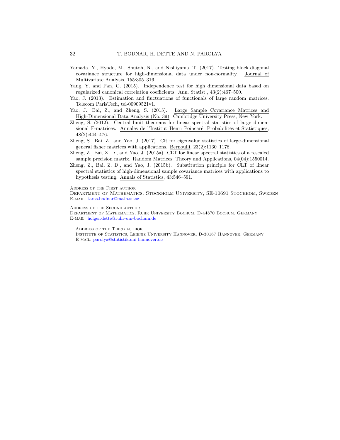- Yamada, Y., Hyodo, M., Shutoh, N., and Nishiyama, T. (2017). Testing block-diagonal covariance structure for high-dimensional data under non-normality. Journal of Multivariate Analysis, 155:305–316.
- Yang, Y. and Pan, G. (2015). Independence test for high dimensional data based on regularized canonical correlation coefficients. Ann. Statist., 43(2):467–500.
- Yao, J. (2013). Estimation and fluctuations of functionals of large random matrices. Telecom ParisTech, tel-00909521v1.
- Yao, J., Bai, Z., and Zheng, S. (2015). Large Sample Covariance Matrices and High-Dimensional Data Analysis (No. 39). Cambridge University Press, New York.
- Zheng, S. (2012). Central limit theorems for linear spectral statistics of large dimensional F-matrices. Annales de l'Institut Henri Poincaré, Probabilités et Statistiques, 48(2):444–476.
- Zheng, S., Bai, Z., and Yao, J. (2017). Clt for eigenvalue statistics of large-dimensional general fisher matrices with applications. Bernoulli, 23(2):1130–1178.
- Zheng, Z., Bai, Z. D., and Yao, J. (2015a). CLT for linear spectral statistics of a rescaled sample precision matrix. Random Matrices: Theory and Applications, 04(04):1550014.
- Zheng, Z., Bai, Z. D., and Yao, J. (2015b). Substitution principle for CLT of linear spectral statistics of high-dimensional sample covariance matrices with applications to hypothesis testing. Annals of Statistics, 43:546–591.

Address of the First author

Department of Mathematics, Stockholm University, SE-10691 Stockhom, Sweden E-mail: taras.bodnar@math.su.se

Address of the Second author

Department of Mathematics, Ruhr University Bochum, D-44870 Bochum, Germany E-mail: holger.dette@ruhr-uni-bochum.de

Address of the Third author

Institute of Statistics, Leibniz University Hannover, D-30167 Hannover, Germany E-mail: parolya@statistik.uni-hannover.de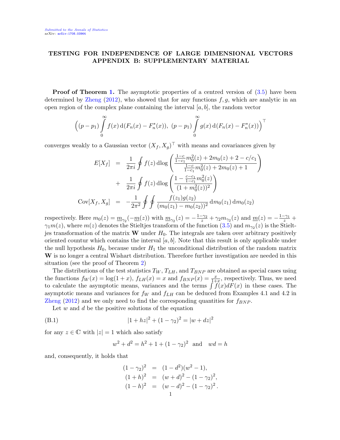## TESTING FOR INDEPENDENCE OF LARGE DIMENSIONAL VECTORS APPENDIX B: SUPPLEMENTARY MATERIAL

**Proof of Theorem 1.** The asymptotic properties of a centred version of  $(3.5)$  have been determined by Zheng  $(2012)$ , who showed that for any functions  $f, g$ , which are analytic in an open region of the complex plane containing the interval  $[a, b]$ , the random vector

$$
\left( (p - p_1) \int_{0}^{\infty} f(x) d(F_n(x) - F_n^*(x)), (p - p_1) \int_{0}^{\infty} g(x) d(F_n(x) - F_n^*(x)) \right)^{\top}
$$

converges weakly to a Gaussian vector  $(X_f, X_g)^\top$  with means and covariances given by

$$
E[X_f] = \frac{1}{2\pi i} \oint f(z) d\log \left( \frac{\frac{1-c}{1-c_1} m_0^2(z) + 2m_0(z) + 2 - c/c_1}{\frac{1-c}{1-c_1} m_0^2(z) + 2m_0(z) + 1} \right)
$$
  
+ 
$$
\frac{1}{2\pi i} \oint f(z) d\log \left( \frac{1 - \frac{c-c_1}{1-c_1} m_0^2(z)}{(1 + m_0^2(z))^2} \right)
$$
  
Cov[X\_f, X\_g] = 
$$
-\frac{1}{2\pi^2} \oint \oint \frac{f(z_1)g(z_2)}{(m_0(z_1) - m_0(z_2))^2} dm_0(z_1) dm_0(z_2)
$$

respectively. Here  $m_0(z) = \underline{m}_{\gamma_2}(-\underline{m}(z))$  with  $\underline{m}_{\gamma_2}(z) = -\frac{1-\gamma_2}{z} + \gamma_2 m_{\gamma_2}(z)$  and  $\underline{m}(z) = -\frac{1-\gamma_1}{z} + \gamma_2 m_{\gamma_2}(z)$  $\gamma_1 m(z)$ , where  $m(z)$  denotes the Stieltjes transform of the function  $(3.5)$  and  $m_{\gamma_2}(z)$  is the Stieltjes transformation of the matrix  $\bf{W}$  under  $H_0$ . The integrals are taken over arbitrary positively oriented countur which contains the interval  $[a, b]$ . Note that this result is only applicable under the null hypothesis  $H_0$ , because under  $H_1$  the unconditional distribution of the random matrix W is no longer a central Wishart distribution. Therefore further investigation are needed in this situation (see the proof of Theorem 2)

The distributions of the test statistics  $T_W$ ,  $T_{LH}$ , and  $T_{BNP}$  are obtained as special cases using the functions  $f_W(x) = \log(1+x)$ ,  $f_{LH}(x) = x$  and  $f_{BNP}(x) = \frac{x}{1+x}$ , respectively. Thus, we need to calculate the asymptotic means, variances and the terms  $\int f(x)dF(x)$  in these cases. The asymptotic means and variances for  $f_W$  and  $f_{LH}$  can be deduced from Examples 4.1 and 4.2 in Zheng (2012) and we only need to find the corresponding quantities for  $f_{BNP}$ .

Let  $w$  and  $d$  be the positive solutions of the equation

(B.1) 
$$
|1 + hz|^2 + (1 - \gamma_2)^2 = |w + dz|^2
$$

for any  $z \in \mathbb{C}$  with  $|z|=1$  which also satisfy

$$
w^{2} + d^{2} = h^{2} + 1 + (1 - \gamma_{2})^{2}
$$
 and  $wd = h$ 

and, consequently, it holds that

$$
(1 - \gamma_2)^2 = (1 - d^2)(w^2 - 1),
$$
  
\n
$$
(1 + h)^2 = (w + d)^2 - (1 - \gamma_2)^2,
$$
  
\n
$$
(1 - h)^2 = (w - d)^2 - (1 - \gamma_2)^2.
$$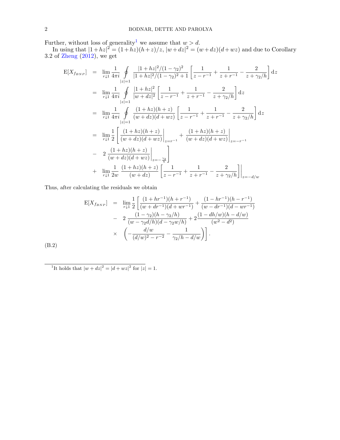Further, without loss of generality<sup>1</sup> we assume that  $w > d$ .

In using that  $|1+hz|^2 = (1+hz)(h+z)/z$ ,  $|w+dz|^2 = (w+dz)(d+wz)$  and due to Corollary 3.2 of Zheng (2012), we get

$$
E[X_{f_{BNP}}] = \lim_{r \downarrow 1} \frac{1}{4\pi i} \oint_{|z|=1} \frac{|1 + hz|^2/(1 - \gamma_2)^2}{|1 + hz|^2/(1 - \gamma_2)^2 + 1} \left[ \frac{1}{z - r^{-1}} + \frac{1}{z + r^{-1}} - \frac{2}{z + \gamma_2/h} \right] dz
$$
  
\n
$$
= \lim_{r \downarrow 1} \frac{1}{4\pi i} \oint_{|z|=1} \frac{|1 + hz|^2}{|w + dz|^2} \left[ \frac{1}{z - r^{-1}} + \frac{1}{z + r^{-1}} - \frac{2}{z + \gamma_2/h} \right] dz
$$
  
\n
$$
= \lim_{r \downarrow 1} \frac{1}{4\pi i} \oint_{|z|=1} \frac{(1 + hz)(h + z)}{(w + dz)(d + wz)} \left[ \frac{1}{z - r^{-1}} + \frac{1}{z + r^{-1}} - \frac{2}{z + \gamma_2/h} \right] dz
$$
  
\n
$$
= \lim_{r \downarrow 1} \frac{1}{2} \left[ \frac{(1 + hz)(h + z)}{(w + dz)(d + wz)} \Big|_{z = r^{-1}} + \frac{(1 + hz)(h + z)}{(w + dz)(d + wz)} \Big|_{z = -r^{-1}}
$$
  
\n
$$
- 2 \frac{(1 + hz)(h + z)}{(w + dz)(d + wz)} \Big|_{z = -\frac{\gamma_2}{h}}
$$
  
\n
$$
+ \lim_{r \downarrow 1} \frac{1}{2w} \frac{(1 + hz)(h + z)}{(w + dz)} \left[ \frac{1}{z - r^{-1}} + \frac{1}{z + r^{-1}} - \frac{2}{z + \gamma_2/h} \right] \Big|_{z = -d/w}
$$

Thus, after calculating the residuals we obtain

$$
E[X_{f_{BNP}}] = \lim_{r \downarrow 1} \frac{1}{2} \left[ \frac{(1 + hr^{-1})(h + r^{-1})}{(w + dr^{-1})(d + wr^{-1})} + \frac{(1 - hr^{-1})(h - r^{-1})}{(w - dr^{-1})(d - wr^{-1})} \right]
$$
  
- 
$$
2 \frac{(1 - \gamma_2)(h - \gamma_2/h)}{(w - \gamma_2 d/h)(d - \gamma_2 w/h)} + 2 \frac{(1 - dh/w)(h - d/w)}{(w^2 - d^2)}
$$
  
× 
$$
\left( -\frac{d/w}{(d/w)^2 - r^{-2}} - \frac{1}{\gamma_2/h - d/w} \right).
$$

(B.2)

<sup>1</sup>It holds that  $|w + dz|^2 = |d + wz|^2$  for  $|z| = 1$ .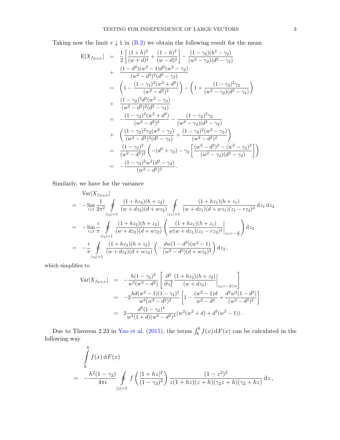Taking now the limit  $r \downarrow 1$  in (B.2) we obtain the following result for the mean

$$
E[X_{f_{BNP}}] = \frac{1}{2} \left[ \frac{(1+h)^2}{(w+d)^2} + \frac{(1-h)^2}{(w-d)^2} \right] - \frac{(1-\gamma_2)(h^2-\gamma_2)}{(w^2-\gamma_2)(d^2-\gamma_2)} + \frac{(1-d^2)(w^2-1)d^2(w^2-\gamma_2)}{(w^2-d^2)^2(d^2-\gamma_2)} = \left( 1 - \frac{(1-\gamma_2)^2(w^2+d^2)}{(w^2-d^2)^2} \right) - \left( 1 + \frac{(1-\gamma_2)^2\gamma_2}{(w^2-\gamma_2)(d^2-\gamma_2)} \right) + \frac{(1-\gamma_2)^2d^2(w^2-\gamma_2)}{(w^2-d^2)^2(d^2-\gamma_2)} = - \frac{(1-\gamma_2)^2(w^2+d^2)}{(w^2-d^2)^2} - \frac{(1-\gamma_2)^2\gamma_2}{(w^2-\gamma_2)(d^2-\gamma_2)} + \left( \frac{(1-\gamma_2)^2\gamma_2(w^2-\gamma_2)}{(w^2-d^2)^2(d^2-\gamma_2)} + \frac{(1-\gamma_2)^2(w^2-\gamma_2)}{(w^2-d^2)^2} \right) = \frac{(1-\gamma_2)^2}{(w^2-d^2)^2} \left( -(d^2+\gamma_2) - \gamma_2 \left[ \frac{(w^2-d^2)^2-(w^2-\gamma_2)^2}{(w^2-\gamma_2)(d^2-\gamma_2)} \right] \right) = - \frac{(1-\gamma_2)^2w^2(d^2-\gamma_2)}{(w^2-d^2)^2}.
$$

Similarly, we have for the variance

$$
\begin{split}\n&\text{Var}[X_{f_{BNP}}] \\
&= -\lim_{r \downarrow 1} \frac{1}{2\pi^2} \oint_{|z_2|=1} \frac{(1+hz_2)(h+z_2)}{(w+dz_2)(d+wz_2)} \oint_{|z_1|=1} \frac{(1+hz_1)(h+z_1)}{(w+dz_1)(d+wz_1)(z_1-rz_2)^2} \, dz_1 \, dz_2 \\
&= -\lim_{r \downarrow 1} \frac{i}{\pi} \oint_{|z_2|=1} \frac{(1+hz_2)(h+z_2)}{(w+dz_2)(d+wz_2)} \left( \frac{(1+hz_1)(h+z_1)}{w(w+dz_1)(z_1-rz_2)^2} \Big|_{z_1=-\frac{d}{w}} \right) \, dz_2 \\
&= -\frac{i}{\pi} \oint_{|z_2|=1} \frac{(1+hz_2)(h+z_2)}{(w+dz_2)(d+wz_2)} \left( -\frac{dw(1-d^2)(w^2-1)}{(w^2-d^2)(d+wz_2)^2} \right) \, dz_2 \,,\n\end{split}
$$

which simplifies to

$$
\begin{split}\n\text{Var}[X_{f_{BNP}}] &= -\frac{h(1-\gamma_2)^2}{w^3(w^2-d^2)} \left[ \left. \frac{\partial^2}{\partial z_2^2} \frac{(1+hz_2)(h+z_2)}{(w+dz_2)} \right|_{z_2=-d/w} \right] \\
&= -2 \frac{hd(w^2-1)(1-\gamma_2)^2}{w^3(w^2-d^2)^2} \left[ 1 - \frac{(w^2-1)d}{w^2-d^2} + \frac{d^2w^2(1-d^2)}{(w^2-d^2)^2} \right] \\
&= 2 \frac{d^2(1-\gamma_2)^4}{w^2(1+d)(w^2-d^2)^4} (w^2(w^2+d) + d^3(w^2-1)).\n\end{split}
$$

Due to Theorem 2.23 in Yao et al. (2015), the terms  $\int_b^b f(x) dF(x)$  can be calculated in the following way

$$
\int_{b}^{b} f(x) dF(x)
$$
\n
$$
= -\frac{h^{2}(1-\gamma_{2})}{4\pi i} \oint_{|z|=1} f\left(\frac{|1+hz|^{2}}{(1-\gamma_{2})^{2}}\right) \frac{(1-z^{2})^{2}}{z(1+hz)(z+h)(\gamma_{2}+h)(\gamma_{2}+hz)} dz,
$$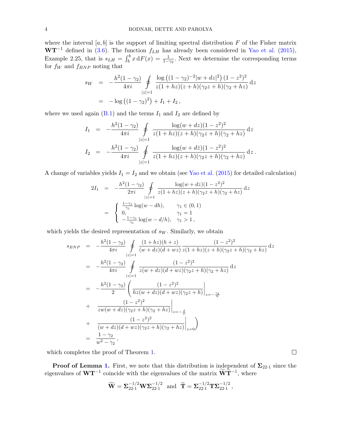where the interval  $[a, b]$  is the support of limiting spectral distribution  $F$  of the Fisher matrix  $WT^{-1}$  defined in (3.6). The function  $f_{LH}$  has already been considered in Yao et al. (2015), Example 2.25, that is  $s_{LH} = \int_b^b x dF(x) = \frac{1}{1-\gamma_2}$ . Next we determine the corresponding terms for  $f_W$  and  $f_{BNP}$  noting that

$$
s_W = -\frac{h^2(1-\gamma_2)}{4\pi i} \oint_{|z|=1} \frac{\log ((1-\gamma_2)^{-2}|w+dz|^2) (1-z^2)^2}{z(1+hz)(z+h)(\gamma_2 z+h)(\gamma_2 + hz)} dz
$$
  
=  $-\log ((1-\gamma_2)^2) + I_1 + I_2,$ 

where we used again  $(B.1)$  and the terms  $I_1$  and  $I_2$  are defined by

$$
I_1 = -\frac{h^2(1-\gamma_2)}{4\pi i} \oint_{|z|=1} \frac{\log(w+dz)(1-z^2)^2}{z(1+hz)(z+h)(\gamma_2z+h)(\gamma_2+hz)} dz
$$
  

$$
I_2 = -\frac{h^2(1-\gamma_2)}{4\pi i} \oint_{|z|=1} \frac{\log(w+dz)(1-z^2)^2}{z(1+hz)(z+h)(\gamma_2z+h)(\gamma_2+hz)} dz.
$$

A change of variables yields  $I_1 = I_2$  and we obtain (see Yao et al. (2015) for detailed calculation)

$$
2I_1 = -\frac{h^2(1-\gamma_2)}{2\pi i} \oint_{|z|=1} \frac{\log(w+dz)(1-z^2)^2}{z(1+hz)(z+h)(\gamma_2z+h)(\gamma_2+hz)} dz
$$
  

$$
= \begin{cases} \frac{1-\gamma_1}{\gamma_1} \log(w-dh), & \gamma_1 \in (0,1) \\ 0, & \gamma_1 = 1 \\ -\frac{1-\gamma_1}{\gamma_1} \log(w-d/h), & \gamma_1 > 1, \end{cases}
$$

which yields the desired representation of  $s_W$ . Similarly, we obtain

$$
s_{BNP} = -\frac{h^2(1-\gamma_2)}{4\pi i} \oint_{|z|=1} \frac{(1+hz)(h+z)}{(w+dz)(d+wz)} \frac{(1-z^2)^2}{z(1+hz)(z+h)(\gamma_2 z+h)(\gamma_2 + hz)} dz
$$
  
\n
$$
= -\frac{h^2(1-\gamma_2)}{4\pi i} \oint_{|z|=1} \frac{(1-z^2)^2}{z(w+dz)(d+wz)(\gamma_2 z+h)(\gamma_2 + hz)} dz
$$
  
\n
$$
= -\frac{h^2(1-\gamma_2)}{2} \left( \frac{(1-z^2)^2}{hz(w+dz)(d+wz)(\gamma_2 z+h)} \Big|_{z=-\frac{\gamma_2}{h}}
$$
  
\n
$$
+ \frac{(1-z^2)^2}{zw(w+dz)(\gamma_2 z+h)(\gamma_2 + hz)} \Big|_{z=-\frac{d}{w}}
$$
  
\n
$$
+ \frac{(1-z^2)^2}{(w+dz)(d+wz)(\gamma_2 z+h)(\gamma_2 + hz)} \Big|_{z=0}
$$
  
\n
$$
= \frac{1-\gamma_2}{w^2-\gamma_2},
$$

which completes the proof of Theorem 1.

**Proof of Lemma 1.** First, we note that this distribution is independent of  $\Sigma_{22\cdot1}$  since the eigenvalues of  $\mathbf{W}\mathbf{T}^{-1}$  coincide with the eigenvalues of the matrix  $\widetilde{\mathbf{W}}\widetilde{\mathbf{T}}^{-1}$ , where

$$
\widetilde{\mathbf{W}} = \mathbf{\Sigma}_{22\cdot 1}^{-1/2} \mathbf{W} \mathbf{\Sigma}_{22\cdot 1}^{-1/2}
$$
 and  $\widetilde{\mathbf{T}} = \mathbf{\Sigma}_{22\cdot 1}^{-1/2} \mathbf{T} \mathbf{\Sigma}_{22\cdot 1}^{-1/2}$ ,

 $\Box$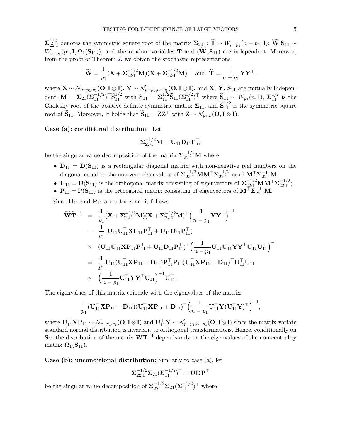$\mathbf{\Sigma}^{1/2}_{22}$ <sup>1/2</sup><sub>22.1</sub> denotes the symmetric square root of the matrix  $\Sigma_{22.1}$ ; T ~  $W_{p-p_1}(n-p_1, I)$ ; W|S<sub>11</sub> ~  $W_{p-p1}(p_1, I, \mathbf{\Omega}_1(\mathbf{S}_{11}))$ ; and the random variables **T** and  $(\mathbf{W}, \mathbf{S}_{11})$  are independent. Moreover, from the proof of Theorem 2, we obtain the stochastic representations

$$
\widetilde{\mathbf{W}} = \frac{1}{p_1} (\mathbf{X} + \Sigma_{22\cdot 1}^{-1/2} \mathbf{M}) (\mathbf{X} + \Sigma_{22\cdot 1}^{-1/2} \mathbf{M})^\top \text{ and } \widetilde{\mathbf{T}} = \frac{1}{n - p_1} \mathbf{Y} \mathbf{Y}^\top.
$$

where  $\mathbf{X} \sim \mathcal{N}_{p-p_1,p_1}(\mathbf{O}, \mathbf{I} \otimes \mathbf{I}), \ \mathbf{Y} \sim \mathcal{N}_{p-p_1,n-p_1}(\mathbf{O}, \mathbf{I} \otimes \mathbf{I}),$  and  $\mathbf{X}, \ \mathbf{Y}, \ \mathbf{S}_{11}$  are mutually independent;  $\mathbf{M} = \mathbf{\Sigma}_{21} (\mathbf{\Sigma}_{11}^{-1/2})^{\top} \widetilde{\mathbf{S}}_{11}^{1/2}$  with  $\mathbf{S}_{11} = \mathbf{\Sigma}_{11}^{1/2} \widetilde{\mathbf{S}}_{11} (\mathbf{\Sigma}_{11}^{1/2})^{\top}$  where  $\widetilde{\mathbf{S}}_{11} \sim W_{p_1}(n, \mathbf{I}), \ \mathbf{\Sigma}_{11}^{1/2}$  is the Cholesky root of the positive definite symmetric matrix  $\Sigma_{11}$ , and  $\widetilde{\mathbf{S}}_{11}^{1/2}$  is the symmetric square root of  $\widetilde{\mathbf{S}}_{11}$ . Moreover, it holds that  $\widetilde{\mathbf{S}}_{11} = \mathbf{Z}\mathbf{Z}^{\top}$  with  $\mathbf{Z} \sim \mathcal{N}_{p_1,n}(\mathbf{O}, \mathbf{I} \otimes \mathbf{I})$ .

Case (a): conditional distribution: Let

$$
\boldsymbol{\Sigma}^{-1/2}_{22\cdot 1}\mathbf{M}=\mathbf{U}_{11}\mathbf{D}_{11}\mathbf{P}_{11}^\top
$$

be the singular-value decomposition of the matrix  $\mathbf{\Sigma}_{22\cdot 1}^{-1/2} \mathbf{M}$  where

- $D_{11} = D(S_{11})$  is a rectangular diagonal matrix with non-negative real numbers on the diagonal equal to the non-zero eigenvalues of  $\mathbf{\Sigma}_{22\cdot 1}^{-1/2}$  MM<sup>T</sup> $\mathbf{\Sigma}_{22\cdot 1}^{-1/2}$  $\frac{-1/2}{22\cdot1}$  or of  $\mathbf{M}^{\top} \mathbf{\Sigma}_{22\cdot1}^{-1} \mathbf{M};$
- $\mathbf{U}_{11} = \mathbf{U}(\mathbf{S}_{11})$  is the orthogonal matrix consisting of eigenvectors of  $\mathbf{\Sigma}_{22\cdot 1}^{-1/2} \mathbf{M} \mathbf{M}^\top \mathbf{\Sigma}_{22\cdot 1}^{-1/2}$  $\frac{-1}{22 \cdot 1};$
- $P_{11} = P(S_{11})$  is the orthogonal matrix consisting of eigenvectors of  $M^{\top} \Sigma_{22\cdot 1}^{-1} M$ .

Since  $\mathbf{U}_{11}$  and  $\mathbf{P}_{11}$  are orthogonal it follows

$$
\widetilde{\mathbf{W}}\widetilde{\mathbf{T}}^{-1} = \frac{1}{p_1} (\mathbf{X} + \mathbf{\Sigma}_{22\cdot 1}^{-1/2} \mathbf{M}) (\mathbf{X} + \mathbf{\Sigma}_{22\cdot 1}^{-1/2} \mathbf{M})^{\top} \Big( \frac{1}{n - p_1} \mathbf{Y} \mathbf{Y}^{\top} \Big)^{-1} \n= \frac{1}{p_1} (\mathbf{U}_{11} \mathbf{U}_{11}^{\top} \mathbf{X} \mathbf{P}_{11} \mathbf{P}_{11}^{\top} + \mathbf{U}_{11} \mathbf{D}_{11} \mathbf{P}_{11}^{\top}) \n\times (\mathbf{U}_{11} \mathbf{U}_{11}^{\top} \mathbf{X} \mathbf{P}_{11} \mathbf{P}_{11}^{\top} + \mathbf{U}_{11} \mathbf{D}_{11} \mathbf{P}_{11}^{\top})^{\top} \Big( \frac{1}{n - p_1} \mathbf{U}_{11} \mathbf{U}_{11}^{\top} \mathbf{Y} \mathbf{Y}^{\top} \mathbf{U}_{11} \mathbf{U}_{11}^{\top} \Big)^{-1} \n= \frac{1}{p_1} \mathbf{U}_{11} (\mathbf{U}_{11}^{\top} \mathbf{X} \mathbf{P}_{11} + \mathbf{D}_{11}) \mathbf{P}_{11}^{\top} \mathbf{P}_{11} (\mathbf{U}_{11}^{\top} \mathbf{X} \mathbf{P}_{11} + \mathbf{D}_{11})^{\top} \mathbf{U}_{11}^{\top} \mathbf{U}_{11} \n\times (\frac{1}{n - p_1} \mathbf{U}_{11}^{\top} \mathbf{Y} \mathbf{Y}^{\top} \mathbf{U}_{11})^{-1} \mathbf{U}_{11}^{\top}.
$$

The eigenvalues of this matrix coincide with the eigenvalues of the matrix

$$
\frac{1}{p_1}(\mathbf{U}_{11}^{\top}\mathbf{X}\mathbf{P}_{11} + \mathbf{D}_{11})(\mathbf{U}_{11}^{\top}\mathbf{X}\mathbf{P}_{11} + \mathbf{D}_{11})^{\top} \Big(\frac{1}{n-p_1}\mathbf{U}_{11}^{\top}\mathbf{Y}(\mathbf{U}_{11}^{\top}\mathbf{Y})^{\top}\Big)^{-1},
$$

where  $\mathbf{U}_{11}^{\top} \mathbf{X} \mathbf{P}_{11} \sim \mathcal{N}_{p-p_1,p_1}(\mathbf{O},\mathbf{I} \otimes \mathbf{I})$  and  $\mathbf{U}_{11}^{\top} \mathbf{Y} \sim \mathcal{N}_{p-p_1,n-p_1}(\mathbf{O},\mathbf{I} \otimes \mathbf{I})$  since the matrix-variate standard normal distribution is invariant to orthogonal transformations. Hence, conditionally on  $S_{11}$  the distribution of the matrix  $WT^{-1}$  depends only on the eigenvalues of the non-centrality matrix  $\mathbf{\Omega}_1(\mathbf{S}_{11}).$ 

Case (b): unconditional distribution: Similarly to case (a), let

$$
\boldsymbol{\Sigma}^{-1/2}_{22\cdot 1}\boldsymbol{\Sigma}_{21}(\boldsymbol{\Sigma}_{11}^{-1/2})^\top = \mathbf{U} \mathbf{D} \mathbf{P}^\top
$$

be the singular-value decomposition of  $\mathbf{\Sigma}_{22\cdot 1}^{-1/2} \mathbf{\Sigma}_{21} (\mathbf{\Sigma}_{11}^{-1/2})^{\top}$  where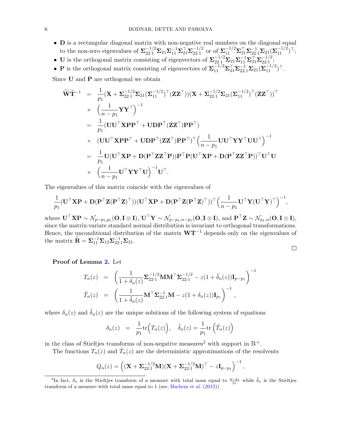- D is a rectangular diagonal matrix with non-negative real numbers on the diagonal equal to the non-zero eigenvalues of  $\sum_{22\cdot1}^{-1/2} \Sigma_{21} \Sigma_{11}^{-1} \Sigma_{21}^{\top} \Sigma_{22\cdot1}^{-1/2}$  $\frac{-1/2}{22 \cdot 1}$  or of  $\mathbf{\Sigma}_{11}^{-1/2} \mathbf{\Sigma}_{21}^{\top} \mathbf{\Sigma}_{22 \cdot 1}^{-1} \mathbf{\Sigma}_{21} (\mathbf{\Sigma}_{11}^{-1/2})^{\top}$ ;
- U is the orthogonal matrix consisting of eigenvectors of  $\mathbf{\Sigma}_{22\cdot1}^{-1/2}\mathbf{\Sigma}_{21}\mathbf{\Sigma}_{11}^{-1}\mathbf{\Sigma}_{21}^{-1}\mathbf{\Sigma}_{22\cdot1}^{-1/2}$  $\frac{-1}{22 \cdot 1};$
- **P** is the orthogonal matrix consisting of eigenvectors of  $\sum_{11}^{-1/2} \sum_{21}^{-1} \sum_{21}^{-1} (\sum_{11}^{-1/2})^{\top}$ .

Since **U** and **P** are orthogonal we obtain

$$
\widetilde{\mathbf{W}}\widetilde{\mathbf{T}}^{-1} = \frac{1}{p_1} (\mathbf{X} + \mathbf{\Sigma}_{22\cdot 1}^{-1/2} \mathbf{\Sigma}_{21} (\mathbf{\Sigma}_{11}^{-1/2})^\top (\mathbf{Z} \mathbf{Z}^\top)) (\mathbf{X} + \mathbf{\Sigma}_{22\cdot 1}^{-1/2} \mathbf{\Sigma}_{21} (\mathbf{\Sigma}_{11}^{-1/2})^\top (\mathbf{Z} \mathbf{Z}^\top))^\top \\
\times \left( \frac{1}{n - p_1} \mathbf{Y} \mathbf{Y}^\top \right)^{-1} \\
= \frac{1}{p_1} (\mathbf{U} \mathbf{U}^\top \mathbf{X} \mathbf{P} \mathbf{P}^\top + \mathbf{U} \mathbf{D} \mathbf{P}^\top (\mathbf{Z} \mathbf{Z}^\top) \mathbf{P} \mathbf{P}^\top) \\
\times \left( \mathbf{U} \mathbf{U}^\top \mathbf{X} \mathbf{P} \mathbf{P}^\top + \mathbf{U} \mathbf{D} \mathbf{P}^\top (\mathbf{Z} \mathbf{Z}^\top) \mathbf{P} \mathbf{P}^\top \right)^\top \left( \frac{1}{n - p_1} \mathbf{U} \mathbf{U}^\top \mathbf{Y} \mathbf{Y}^\top \mathbf{U} \mathbf{U}^\top \right)^{-1} \\
= \frac{1}{p_1} \mathbf{U} (\mathbf{U}^\top \mathbf{X} \mathbf{P} + \mathbf{D} (\mathbf{P}^\top \mathbf{Z} \mathbf{Z}^\top \mathbf{P})) \mathbf{P}^\top \mathbf{P} (\mathbf{U}^\top \mathbf{X} \mathbf{P} + \mathbf{D} (\mathbf{P}^\top \mathbf{Z} \mathbf{Z}^\top \mathbf{P}))^\top \mathbf{U}^\top \mathbf{U} \\
\times \left( \frac{1}{n - p_1} \mathbf{U}^\top \mathbf{Y} \mathbf{Y}^\top \mathbf{U} \right)^{-1} \mathbf{U}^\top.
$$

The eigenvalues of this matrix coincide with the eigenvalues of

$$
\frac{1}{p_1}(\mathbf{U}^\top\mathbf{X}\mathbf{P} + \mathbf{D}(\mathbf{P}^\top\mathbf{Z}(\mathbf{P}^\top\mathbf{Z})^\top))(\mathbf{U}^\top\mathbf{X}\mathbf{P} + \mathbf{D}(\mathbf{P}^\top\mathbf{Z}(\mathbf{P}^\top\mathbf{Z})^\top))^\top \Big(\frac{1}{n-p_1}\mathbf{U}^\top\mathbf{Y}(\mathbf{U}^\top\mathbf{Y})^\top\Big)^{-1},
$$

where  $\mathbf{U}^\top \mathbf{X} \mathbf{P} \sim \mathcal{N}_{p-p_1,p_1}(\mathbf{O}, \mathbf{I} \otimes \mathbf{I}), \mathbf{U}^\top \mathbf{Y} \sim \mathcal{N}_{p-p_1,n-p_1}(\mathbf{O}, \mathbf{I} \otimes \mathbf{I}),$  and  $\mathbf{P}^\top \mathbf{Z} \sim \mathcal{N}_{p_1,n}(\mathbf{O}, \mathbf{I} \otimes \mathbf{I}),$ since the matrix-variate standard normal distribution is invariant to orthogonal transformations. Hence, the unconditional distribution of the matrix  $WT^{-1}$  depends only on the eigenvalues of the matrix  $\widetilde{\mathbf{R}} = \Sigma_{11}^{-1} \Sigma_{12} \Sigma_{22\cdot 1}^{-1} \Sigma_{21}.$ 

$$
\qquad \qquad \Box
$$

Proof of Lemma 2. Let

$$
T_n(z) = \left(\frac{1}{1+\delta_n(z)} \Sigma_{22\cdot 1}^{-1/2} \mathbf{M} \mathbf{M}^\top \Sigma_{22\cdot 1}^{-1/2} - z(1+\tilde{\delta}_n(z)) \mathbf{I}_{p-p_1}\right)^{-1}
$$
  

$$
\tilde{T}_n(z) = \left(\frac{1}{1+\tilde{\delta}_n(z)} \mathbf{M}^\top \Sigma_{22\cdot 1}^{-1} \mathbf{M} - z(1+\delta_n(z)) \mathbf{I}_{p_1}\right)^{-1},
$$

where  $\delta_n(z)$  and  $\tilde{\delta}_n(z)$  are the unique solutions of the following system of equations

$$
\delta_n(z) = \frac{1}{p_1} \text{tr}\Big(T_n(z)\Big), \quad \tilde{\delta}_n(z) = \frac{1}{p_1} \text{tr}\left(\tilde{T}_n(z)\right)
$$

in the class of Stieltjes transforms of non-negative measures<sup>2</sup> with support in  $\mathbb{R}^+$ .

The functions  $T_n(z)$  and  $\tilde{T}_n(z)$  are the deterministic approximations of the resolvents

$$
Q_n(z) = \left( (\mathbf{X} + \mathbf{\Sigma}_{22\cdot 1}^{-1/2} \mathbf{M})(\mathbf{X} + \mathbf{\Sigma}_{22\cdot 1}^{-1/2} \mathbf{M})^\top - z \mathbf{I}_{p-p_1} \right)^{-1},
$$

<sup>&</sup>lt;sup>2</sup>In fact,  $\delta_n$  is the Stieltjes transform of a measure with total mass equal to  $\frac{p-p_1}{p_1}$  while  $\tilde{\delta}_n$  is the Stieltjes transform of a measure with total mass equal to 1 (see, Hachem et al. (2012))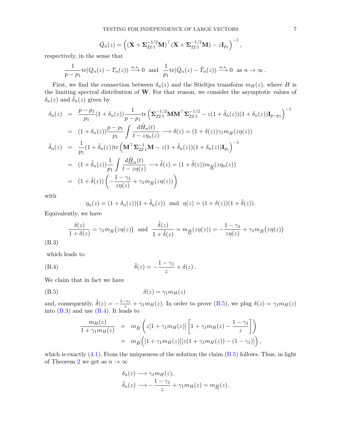$$
\tilde{Q}_n(z) = \left( (\mathbf{X} + \mathbf{\Sigma}_{22\cdot 1}^{-1/2} \mathbf{M})^\top (\mathbf{X} + \mathbf{\Sigma}_{22\cdot 1}^{-1/2} \mathbf{M}) - z \mathbf{I}_{p_1} \right)^{-1},
$$

respectively, in the sense that

$$
\frac{1}{p-p_1}\text{tr}(Q_n(z)-T_n(z)) \xrightarrow{a.s.} 0 \text{ and } \frac{1}{p_1}\text{tr}(\tilde{Q}_n(z)-\tilde{T}_n(z)) \xrightarrow{a.s.} 0 \text{ as } n \to \infty.
$$

First, we find the connection between  $\delta_n(z)$  and the Stieltjes transform  $m_H(z)$ , where H is the limiting spectral distribution of W. For that reason, we consider the asymptotic values of  $\delta_n(z)$  and  $\delta_n(z)$  given by

$$
\delta_n(z) = \frac{p - p_1}{p_1} (1 + \delta_n(z)) \frac{1}{p - p_1} \text{tr} \left( \Sigma_{22 \cdot 1}^{-1/2} \mathbf{M} \mathbf{M}^\top \Sigma_{22 \cdot 1}^{-1/2} - z(1 + \tilde{\delta}_n(z)) (1 + \delta_n(z)) \mathbf{I}_{p - p_1} \right)^{-1}
$$
\n
$$
= (1 + \delta_n(z)) \frac{p - p_1}{p_1} \int \frac{d\tilde{H}_n(t)}{t - z \eta_n(z)} \longrightarrow \delta(z) = (1 + \delta(z)) \gamma_1 m_{\tilde{H}}(z \eta(z))
$$
\n
$$
\tilde{\delta}_n(z) = \frac{1}{p_1} (1 + \tilde{\delta}_n(z)) \text{tr} \left( \mathbf{M}^\top \Sigma_{22 \cdot 1}^{-1} \mathbf{M} - z(1 + \tilde{\delta}_n(z)) (1 + \delta_n(z)) \mathbf{I}_{p_1} \right)^{-1}
$$
\n
$$
= (1 + \tilde{\delta}_n(z)) \frac{1}{p_1} \int \frac{d\tilde{H}_n(t)}{t - z \eta(z)} \longrightarrow \tilde{\delta}(z) = (1 + \tilde{\delta}(z)) m_{\tilde{H}}(z \eta_n(z))
$$
\n
$$
= (1 + \tilde{\delta}(z)) \left( -\frac{1 - \gamma_1}{z \eta(z)} + \gamma_1 m_{\tilde{H}}(z \eta(z)) \right)
$$

with

$$
\eta_n(z) = (1 + \delta_n(z))(1 + \tilde{\delta}_n(z))
$$
 and  $\eta(z) = (1 + \delta(z))(1 + \tilde{\delta}(z)).$ 

Equivalently, we have

$$
\frac{\delta(z)}{1+\delta(z)} = \gamma_1 m_{\tilde{H}}(z\eta(z)) \text{ and } \frac{\tilde{\delta}(z)}{1+\tilde{\delta}(z)} = m_{\underline{\tilde{H}}}(z\eta(z)) = -\frac{1-\gamma_1}{z\eta(z)} + \gamma_1 m_{\tilde{H}}(z\eta(z))
$$
\n(B.3)

which leads to

(B.4) 
$$
\tilde{\delta}(z) = -\frac{1-\gamma_1}{z} + \delta(z).
$$

We claim that in fact we have

$$
\delta(z) = \gamma_1 m_H(z)
$$

and, consequently,  $\tilde{\delta}(z) = -\frac{1-\gamma_1}{z} + \gamma_1 m_H(z)$ . In order to prove (B.5), we plug  $\delta(z) = \gamma_1 m_H(z)$ into (B.3) and use (B.4). It leads to

$$
\frac{m_H(z)}{1+\gamma_1 m_H(z)} = m_{\tilde{H}}\left(z[1+\gamma_1 m_H(z)]\left[1+\gamma_1 m_H(z)-\frac{1-\gamma_1}{z}\right]\right)
$$
  

$$
= m_{\tilde{H}}\left([1+\gamma_1 m_H(z)][z(1+\gamma_1 m_H(z))-(1-\gamma_1)]\right),
$$

which is exactly  $(4.1)$ . From the uniqueness of the solution the claim  $(B.5)$  follows. Thus, in light of Theorem 2 we get as  $n \to \infty$ 

$$
\delta_n(z) \longrightarrow \gamma_1 m_H(z),
$$
  

$$
\tilde{\delta}_n(z) \longrightarrow -\frac{1-\gamma_1}{z} + \gamma_1 m_H(z) = m_H(z).
$$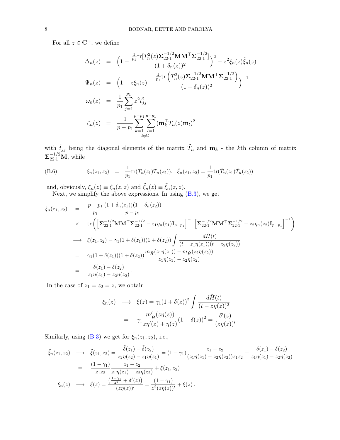For all  $z \in \mathbb{C}^+$ , we define

$$
\Delta_n(z) = \left(1 - \frac{\frac{1}{p_1} \text{tr}[T_n^2(z) \Sigma_{22\cdot 1}^{-1/2} \mathbf{M} \mathbf{M}^\top \Sigma_{22\cdot 1}^{-1/2}]}{(1 + \delta_n(z))^2}\right)^2 - z^2 \xi_n(z) \tilde{\xi}_n(z)
$$
  

$$
\Psi_n(z) = \left(1 - z \xi_n(z) - \frac{\frac{1}{p_1} \text{tr}\left(T_n^2(z) \Sigma_{22\cdot 1}^{-1/2} \mathbf{M} \mathbf{M}^\top \Sigma_{22\cdot 1}^{-1/2}\right)}{(1 + \delta_n(z))^2}\right)^{-1}
$$
  

$$
\omega_n(z) = \frac{1}{p_1} \sum_{j=1}^{p_1} z^2 \tilde{t}_{jj}^2
$$
  

$$
\zeta_n(z) = \frac{1}{p - p_1} \sum_{k=1}^{p - p_1} \sum_{l=1}^{p - p_l} (\mathbf{m}_k^\top T_n(z) \mathbf{m}_l)^2
$$

with  $\tilde{t}_{jj}$  being the diagonal elements of the matrix  $\tilde{T}_n$  and  $\mathbf{m}_k$  - the kth column of matrix  $\mathbf{\Sigma}_{22\cdot 1}^{-1/2} \mathbf{M}$ , while

(B.6) 
$$
\xi_n(z_1, z_2) = \frac{1}{p_1} tr(T_n(z_1) T_n(z_2)), \quad \tilde{\xi}_n(z_1, z_2) = \frac{1}{p_1} tr(\tilde{T}_n(z_1) \tilde{T}_n(z_2))
$$

and, obviously,  $\xi_n(z) \equiv \xi_n(z, z)$  and  $\tilde{\xi}_n(z) \equiv \tilde{\xi}_n(z, z)$ .

Next, we simplify the above expressions. In using  $(B.3)$ , we get

$$
\xi_n(z_1, z_2) = \frac{p - p_1}{p_1} \frac{(1 + \delta_n(z_1))(1 + \delta_n(z_2))}{p - p_1}
$$
\n
$$
\times \text{ tr}\left(\left[\Sigma_{22 \cdot 1}^{-1/2} \mathbf{M} \mathbf{M}^\top \Sigma_{22 \cdot 1}^{-1/2} - z_1 \eta_n(z_1) \mathbf{I}_{p - p_1}\right]^{-1} \left[\Sigma_{22 \cdot 1}^{-1/2} \mathbf{M} \mathbf{M}^\top \Sigma_{22 \cdot 1}^{-1/2} - z_2 \eta_n(z_2) \mathbf{I}_{p - p_1}\right]^{-1}\right)
$$
\n
$$
\longrightarrow \xi(z_1, z_2) = \gamma_1 (1 + \delta(z_1))(1 + \delta(z_2)) \int \frac{d\tilde{H}(t)}{(t - z_1 \eta(z_1))(t - z_2 \eta(z_2))}
$$
\n
$$
= \gamma_1 (1 + \delta(z_1))(1 + \delta(z_2)) \frac{m_{\tilde{H}}(z_1 \eta(z_1)) - m_{\tilde{H}}(z_2 \eta(z_2))}{z_1 \eta(z_1) - z_2 \eta(z_2)}
$$
\n
$$
= \frac{\delta(z_1) - \delta(z_2)}{z_1 \eta(z_1) - z_2 \eta(z_2)}.
$$

In the case of  $z_1 = z_2 = z$ , we obtain

$$
\xi_n(z) \longrightarrow \xi(z) = \gamma_1 (1 + \delta(z))^2 \int \frac{d\tilde{H}(t)}{(t - z\eta(z))^2}
$$

$$
= \gamma_1 \frac{m'_{\tilde{H}}(z\eta(z))}{z\eta'(z) + \eta(z)} (1 + \delta(z))^2 = \frac{\delta'(z)}{(z\eta(z))'}.
$$

Similarly, using (B.3) we get for  $\tilde{\xi}_n(z_1, z_2)$ , i.e.,

$$
\tilde{\xi}_n(z_1, z_2) \longrightarrow \tilde{\xi}(z_1, z_2) = \frac{\tilde{\delta}(z_1) - \tilde{\delta}(z_2)}{z_2 \eta(z_2) - z_1 \eta(z_1)} = (1 - \gamma_1) \frac{z_1 - z_2}{(z_1 \eta(z_1) - z_2 \eta(z_2)) z_1 z_2} + \frac{\delta(z_1) - \delta(z_2)}{z_1 \eta(z_1) - z_2 \eta(z_2)}
$$
\n
$$
= \frac{(1 - \gamma_1)}{z_1 z_2} \frac{z_1 - z_2}{z_1 \eta(z_1) - z_2 \eta(z_2)} + \xi(z_1, z_2)
$$
\n
$$
\tilde{\xi}_n(z) \longrightarrow \tilde{\xi}(z) = \frac{\left(\frac{1 - \gamma_1}{z^2} + \delta'(z)\right)}{(z \eta(z))'} = \frac{(1 - \gamma_1)}{z^2 (z \eta(z))'} + \xi(z).
$$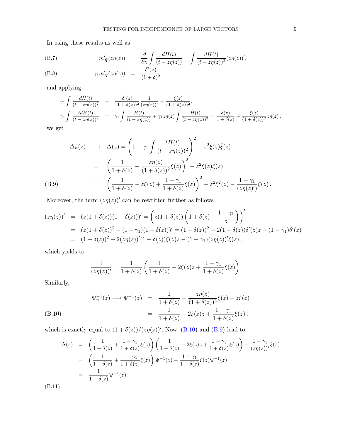In using these results as well as

(B.7) 
$$
m'_{\tilde{H}}(z\eta(z)) = \frac{\partial}{\partial z} \int \frac{d\tilde{H}(t)}{(t - z\eta(z))} = \int \frac{d\tilde{H}(t)}{(t - z\eta(z))^2} (z\eta(z))',
$$
  
(B.8) 
$$
\gamma_1 m'_{\tilde{H}}(z\eta(z)) = \frac{\delta'(z)}{(1 + \delta)^2}
$$

and applying

$$
\gamma_1 \int \frac{d\tilde{H}(t)}{(t - z\eta(z))^2} = \frac{\delta'(z)}{(1 + \delta(z))^2} \frac{1}{(z\eta(z))'} = \frac{\xi(z)}{(1 + \delta(z))^2},
$$
\n
$$
\gamma_1 \int \frac{td\tilde{H}(t)}{(t - z\eta(z))^2} = \gamma_1 \int \frac{\tilde{H}(t)}{(t - z\eta(z))} + \gamma_1 z\eta(z) \int \frac{\tilde{H}(t)}{(t - z\eta(z))^2} = \frac{\delta(z)}{1 + \delta(z)} + \frac{\xi(z)}{(1 + \delta(z))^2} z\eta(z),
$$

we get

$$
\Delta_n(z) \longrightarrow \Delta(z) = \left(1 - \gamma_1 \int \frac{t\tilde{H}(t)}{(t - z\eta(z))^2} \right)^2 - z^2 \xi(z) \tilde{\xi}(z)
$$
  

$$
= \left(\frac{1}{1 + \delta(z)} - \frac{z\eta(z)}{(1 + \delta(z))^2} \xi(z)\right)^2 - z^2 \xi(z) \tilde{\xi}(z)
$$
  

$$
= \left(\frac{1}{1 + \delta(z)} - z\xi(z) + \frac{1 - \gamma_1}{1 + \delta(z)} \xi(z)\right)^2 - z^2 \xi^2(z) - \frac{1 - \gamma_1}{(z\eta(z)')}\xi(z).
$$

Moreover, the term  $(z\eta(z))'$  can be rewritten further as follows

$$
(z\eta(z))' = (z(1+\delta(z))(1+\tilde{\delta}(z)))' = (z(1+\delta(z)))(1+\delta(z))\left(1+\delta(z)-\frac{1-\gamma_1}{z}\right)'
$$
  
= 
$$
(z(1+\delta(z))^2 - (1-\gamma_1)(1+\delta(z)))' = (1+\delta(z))^2 + 2(1+\delta(z))\delta'(z)z - (1-\gamma_1)\delta'(z)
$$
  
= 
$$
(1+\delta(z))^2 + 2(z\eta(z))'(1+\delta(z))\xi(z)z - (1-\gamma_1)(z\eta(z))'\xi(z),
$$

which yields to

$$
\frac{1}{(z\eta(z))'} = \frac{1}{1+\delta(z)} \left( \frac{1}{1+\delta(z)} - 2\xi(z)z + \frac{1-\gamma_1}{1+\delta(z)}\xi(z) \right)
$$

Similarly,

$$
\Psi_n^{-1}(z) \longrightarrow \Psi^{-1}(z) = \frac{1}{1 + \delta(z)} - \frac{z\eta(z)}{(1 + \delta(z))^2} \xi(z) - z\xi(z)
$$
\n
$$
= \frac{1}{1 + \delta(z)} - 2\xi(z)z + \frac{1 - \gamma_1}{1 + \delta(z)} \xi(z),
$$
\n(B.10)

which is exactly equal to  $(1 + \delta(z))/(z\eta(z))'$ . Now, (B.10) and (B.9) lead to

$$
\Delta(z) = \left(\frac{1}{1+\delta(z)} + \frac{1-\gamma_1}{1+\delta(z)}\xi(z)\right)\left(\frac{1}{1+\delta(z)} - 2\xi(z)z + \frac{1-\gamma_1}{1+\delta(z)}\xi(z)\right) - \frac{1-\gamma_1}{(z\eta(z))'}\xi(z)
$$
  
= 
$$
\left(\frac{1}{1+\delta(z)} + \frac{1-\gamma_1}{1+\delta(z)}\xi(z)\right)\Psi^{-1}(z) - \frac{1-\gamma_1}{1+\delta(z)}\xi(z)\Psi^{-1}(z)
$$
  
= 
$$
\frac{1}{1+\delta(z)}\Psi^{-1}(z).
$$

(B.11)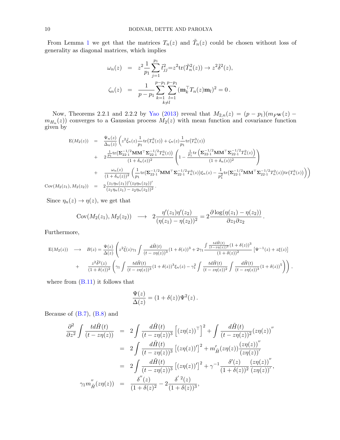From Lemma 1 we get that the matrices  $T_n(z)$  and  $\tilde{T}_n(z)$  could be chosen without loss of generality as diagonal matrices, which implies

$$
\omega_n(z) = z^2 \frac{1}{p_1} \sum_{j=1}^{p_1} \tilde{t}_{jj}^2 = z^2 \text{tr}(\tilde{T}_n^2(z)) \to z^2 \tilde{\delta}^2(z),
$$
  

$$
\zeta_n(z) = \frac{1}{p - p_1} \sum_{k=1}^{p - p_1} \sum_{l=1}^{p - p_1} (\mathbf{m}_k^{\top} T_n(z) \mathbf{m}_l)^2 = 0.
$$

Now, Theorems 2.2.1 and 2.2.2 by Yao (2013) reveal that  $M_{2,n}(z) = (p - p_1)(m_F w(z)$  $m_{H_n}(z)$  converges to a Gaussian process  $M_2(z)$  with mean function and covariance function given by

$$
E(M_{2}(z)) = \frac{\Psi_{n}(z)}{\Delta_{n}(z)} \left( z^{2} \tilde{\xi}_{n}(z) \frac{1}{p_{1}} tr(T_{n}^{3}(z)) + \zeta_{n}(z) \frac{1}{p_{1}} tr(T_{n}^{3}(z)) + 2 \frac{\frac{1}{p_{1}} tr(\Sigma_{22\cdot 1}^{-1/2} \mathbf{M} \mathbf{M}^{\top} \Sigma_{22\cdot 1}^{-1/2} T_{n}^{3}(z))}{(1 + \delta_{n}(z))^{2}} \left( 1 - \frac{\frac{1}{p_{1}} tr(\Sigma_{22\cdot 1}^{-1/2} \mathbf{M} \mathbf{M}^{\top} \Sigma_{22\cdot 1}^{-1/2} T_{n}^{2}(z))}{(1 + \delta_{n}(z))^{2}} \right) + \frac{\omega_{n}(z)}{(1 + \delta_{n}(z))^{2}} \left( \frac{1}{p_{1}} tr(\Sigma_{22\cdot 1}^{-1/2} \mathbf{M} \mathbf{M}^{\top} \Sigma_{22\cdot 1}^{-1/2} T_{n}^{3}(z)) \xi_{n}(z) - \frac{1}{p_{1}^{2}} tr(\Sigma_{22\cdot 1}^{-1/2} \mathbf{M} \mathbf{M}^{\top} \Sigma_{22\cdot 1}^{-1/2} T_{n}^{2}(z)) tr(T_{n}^{3}(z)) \right)
$$
  
\n
$$
Cov(M_{2}(z_{1}), M_{2}(z_{2})) = 2 \frac{(z_{1} \eta_{n}(z_{1}))'(z_{2} \eta_{n}(z_{2}))'}{(z_{1} \eta_{n}(z_{1}) - z_{2} \eta_{n}(z_{2}))^{2}}.
$$

Since  $\eta_n(z) \to \eta(z)$ , we get that

$$
Cov(M_2(z_1), M_2(z_2)) \longrightarrow 2\frac{\eta'(z_1)\eta'(z_2)}{(\eta(z_1) - \eta(z_2))^2} = 2\frac{\partial \log(\eta(z_1) - \eta(z_2))}{\partial z_1 \partial z_2}.
$$

Furthermore,

$$
E(M_2(z)) \longrightarrow B(z) = \frac{\Psi(z)}{\Delta(z)} \left( z^2 \tilde{\xi}(z) \gamma_1 \int \frac{d\tilde{H}(t)}{(t - z\eta(z))^3} (1 + \delta(z))^3 + 2\gamma_1 \frac{\int \frac{t d\tilde{H}(t)}{(t - z\eta(z))^3} (1 + \delta(z))^3}{(1 + \delta(z))^2} \left[ \Psi^{-1}(z) + z\xi(z) \right] \right) + \frac{z^2 \tilde{\delta}^2(z)}{(1 + \delta(z))^2} \left( \gamma_1 \int \frac{t d\tilde{H}(t)}{(t - z\eta(z))^3} (1 + \delta(z))^3 \xi_n(z) - \gamma_1^2 \int \frac{t d\tilde{H}(t)}{(t - z\eta(z))^2} \int \frac{d\tilde{H}(t)}{(t - z\eta(z))^3} (1 + \delta(z))^5 \right) \right),
$$

where from  $(B.11)$  it follows that

$$
\frac{\Psi(z)}{\Delta(z)} = (1 + \delta(z))\Psi^{2}(z).
$$

Because of  $(B.7)$ ,  $(B.8)$  and

$$
\frac{\partial^2}{\partial z^2} \int \frac{td\tilde{H}(t)}{(t-z\eta(z))} = 2 \int \frac{d\tilde{H}(t)}{(t-z\eta(z))^3} \left[ (z\eta(z))^{\top} \right]^2 + \int \frac{d\tilde{H}(t)}{(t-z\eta(z))^2} (z\eta(z))''
$$

$$
= 2 \int \frac{d\tilde{H}(t)}{(t-z\eta(z))^3} \left[ (z\eta(z))^{\prime} \right]^2 + m'_{\tilde{H}} (z\eta(z)) \frac{(z\eta(z))^{\prime \prime}}{(z\eta(z))^{\prime}}
$$

$$
= 2 \int \frac{d\tilde{H}(t)}{(t-z\eta(z))^3} \left[ (z\eta(z))^{\prime} \right]^2 + \gamma^{-1} \frac{\delta'(z)}{(1+\delta(z))^2} \frac{(z\eta(z))^{\prime \prime}}{(z\eta(z))^{\prime}},
$$

$$
\gamma_1 m''_{\tilde{H}} (z\eta(z)) = \frac{\delta''(z)}{(1+\delta(z))^2} - 2 \frac{\delta'(z)}{(1+\delta(z))^3},
$$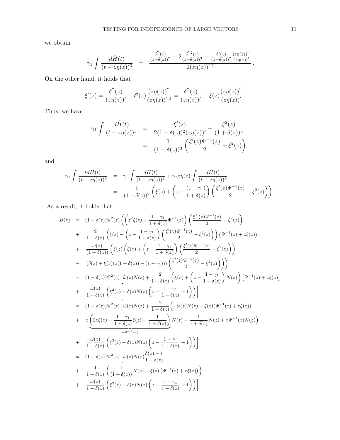we obtain

$$
\gamma_1 \int \frac{d\tilde H(t)}{(t-z\eta(z))^3} \;\; = \;\; \frac{\frac{\delta^{''}(z)}{(1+\delta(z))^2} - 2\frac{\delta^{'}\,2}(z)}{(1+\delta(z))^3} - \frac{\delta'(z)}{(1+\delta(z))^2} \frac{\left(z\eta(z)\right)^{\prime\prime}}{\left(z\eta(z)\right)^{\prime}}}{2(z\eta(z))^{\prime} \; 2} \, .
$$

On the other hand, it holds that

$$
\xi'(z) = \frac{\delta''(z)}{(z\eta(z))'} - \delta'(z)\frac{(z\eta(z))''}{(z\eta(z))'} = \frac{\delta''(z)}{(z\eta(z))'} - \xi(z)\frac{(z\eta(z))''}{(z\eta(z))'}.
$$

Thus, we have

$$
\gamma_1 \int \frac{d\tilde{H}(t)}{(t - z\eta(z))^3} = \frac{\xi'(z)}{2(1 + \delta(z))^2 (z\eta(z))} - \frac{\xi^2(z)}{(1 + \delta(z))^3}
$$
  
= 
$$
\frac{1}{(1 + \delta(z))^3} \left( \frac{\xi'(z) \Psi^{-1}(z)}{2} - \xi^2(z) \right).
$$

and

$$
\gamma_1 \int \frac{td\tilde{H}(t)}{(t-z\eta(z))^3} = \gamma_1 \int \frac{d\tilde{H}(t)}{(t-z\eta(z))^2} + \gamma_1 z \eta(z) \int \frac{d\tilde{H}(t)}{(t-z\eta(z))^3} \n= \frac{1}{(1+\delta(z))^2} \left( \xi(z) + \left( z - \frac{(1-\gamma_1)}{1+\delta(z)} \right) \left( \frac{\xi'(z)\Psi^{-1}(z)}{2} - \xi^2(z) \right) \right).
$$

As a result, it holds that

$$
B(z) = (1 + \delta(z))\Psi^{2}(z) \left( \left( z^{2}\xi(z) + \frac{1 - \gamma_{1}}{1 + \delta(z)} \Psi^{-1}(z) \right) \left( \frac{\xi^{T}(z)\Psi^{-1}(z)}{2} - \xi^{2}(z) \right) \right. \\
\left. + \frac{2}{1 + \delta(z)} \left( \xi(z) + \left( z - \frac{1 - \gamma_{1}}{1 + \delta(z)} \right) \left( \frac{\xi'(z)\Psi^{-1}(z)}{2} - \xi^{2}(z) \right) \right) \left( \Psi^{-1}(z) + z\xi(z) \right) \right. \\
\left. + \frac{\omega(z)}{(1 + \delta(z))} \left( \xi(z) \left( \xi(z) + \left( z - \frac{1 - \gamma_{1}}{1 + \delta(z)} \right) \left( \frac{\xi'(z)\Psi^{-1}(z)}{2} - \xi^{2}(z) \right) \right) \right. \\
\left. - (\delta(z) + \xi(z)(z(1 + \delta(z)) - (1 - \gamma_{1}))) \left( \frac{\xi'(z)\Psi^{-1}(z)}{2} - \xi^{2}(z) \right) \right) \right) \\
= (1 + \delta(z))\Psi^{2}(z) \left[ \tilde{\omega}(z)N(z) + \frac{2}{1 + \delta(z)} \left( \xi(z) + \left( z - \frac{1 - \gamma_{1}}{1 + \delta(z)} \right)N(z) \right) \left[ \Psi^{-1}(z) + z\xi(z) \right] \right. \\
\left. + \frac{\omega(z)}{1 + \delta(z)} \left( \xi^{2}(z) - \delta(z)N(z) \left( z - \frac{1 - \gamma_{1}}{1 + \delta(z)} + 1 \right) \right) \right] \\
= (1 + \delta(z))\Psi^{2}(z) \left[ \tilde{\omega}(z)N(z) + \frac{2}{1 + \delta(z)} \left( -\tilde{\omega}(z)N(z) + \xi(z)(\Psi^{-1}(z) + z\xi(z)) \right) \right. \\
\left. + \frac{\omega(z)}{1 + \delta(z)} \left( \xi^{2}(z) - \frac{1 - \gamma_{1}}{1 + \delta(z)} \right)N(z) + \frac{1}{1 + \delta(z)} N(z) + z\Psi^{-1}(z)N(z) \right) \\
\left. + \frac{\omega(z)}{1 + \delta(z)} \left( \xi^{2}(z) - \delta(z)N(z) \left( z - \frac{1 - \gamma_{1}}{1 + \delta(z)} + 1 \
$$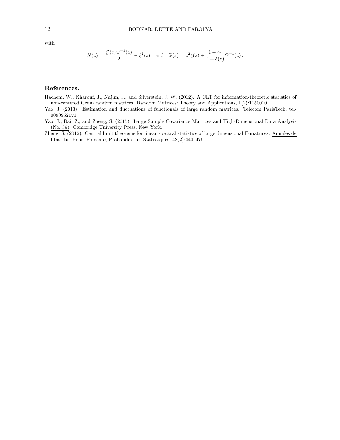with

$$
N(z) = \frac{\xi'(z)\Psi^{-1}(z)}{2} - \xi^{2}(z) \text{ and } \tilde{\omega}(z) = z^{2}\xi(z) + \frac{1-\gamma_{1}}{1+\delta(z)}\Psi^{-1}(z).
$$

 $\Box$ 

### References.

- Hachem, W., Kharouf, J., Najim, J., and Silverstein, J. W. (2012). A CLT for information-theoretic statistics of non-centered Gram random matrices. Random Matrices: Theory and Applications, 1(2):1150010.
- Yao, J. (2013). Estimation and fluctuations of functionals of large random matrices. Telecom ParisTech, tel-00909521v1.
- Yao, J., Bai, Z., and Zheng, S. (2015). Large Sample Covariance Matrices and High-Dimensional Data Analysis (No. 39). Cambridge University Press, New York.
- Zheng, S. (2012). Central limit theorems for linear spectral statistics of large dimensional F-matrices. Annales de l'Institut Henri Poincaré, Probabilités et Statistiques, 48(2):444–476.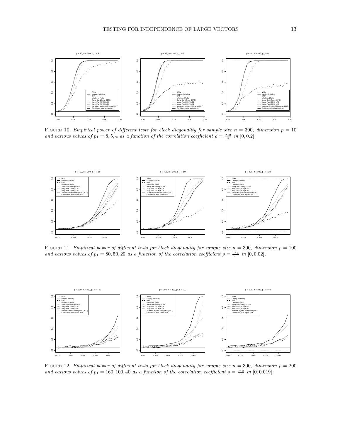

FIGURE 10. Empirical power of different tests for block diagonality for sample size  $n = 300$ , dimension  $p = 10$ and various values of  $p_1 = 8, 5, 4$  as a function of the correlation coefficient  $\rho = \frac{\sigma_{12}}{\sigma}$  in [0,0.2].



FIGURE 11. Empirical power of different tests for block diagonality for sample size  $n = 300$ , dimension  $p = 100$ and various values of  $p_1 = 80, 50, 20$  as a function of the correlation coefficient  $\rho = \frac{\sigma_{12}}{\sigma}$  in [0,0.02].



FIGURE 12. Empirical power of different tests for block diagonality for sample size  $n = 300$ , dimension  $p = 200$ and various values of  $p_1 = 160, 100, 40$  as a function of the correlation coefficient  $\rho = \frac{\sigma_{12}}{\sigma}$  in [0, 0.019].